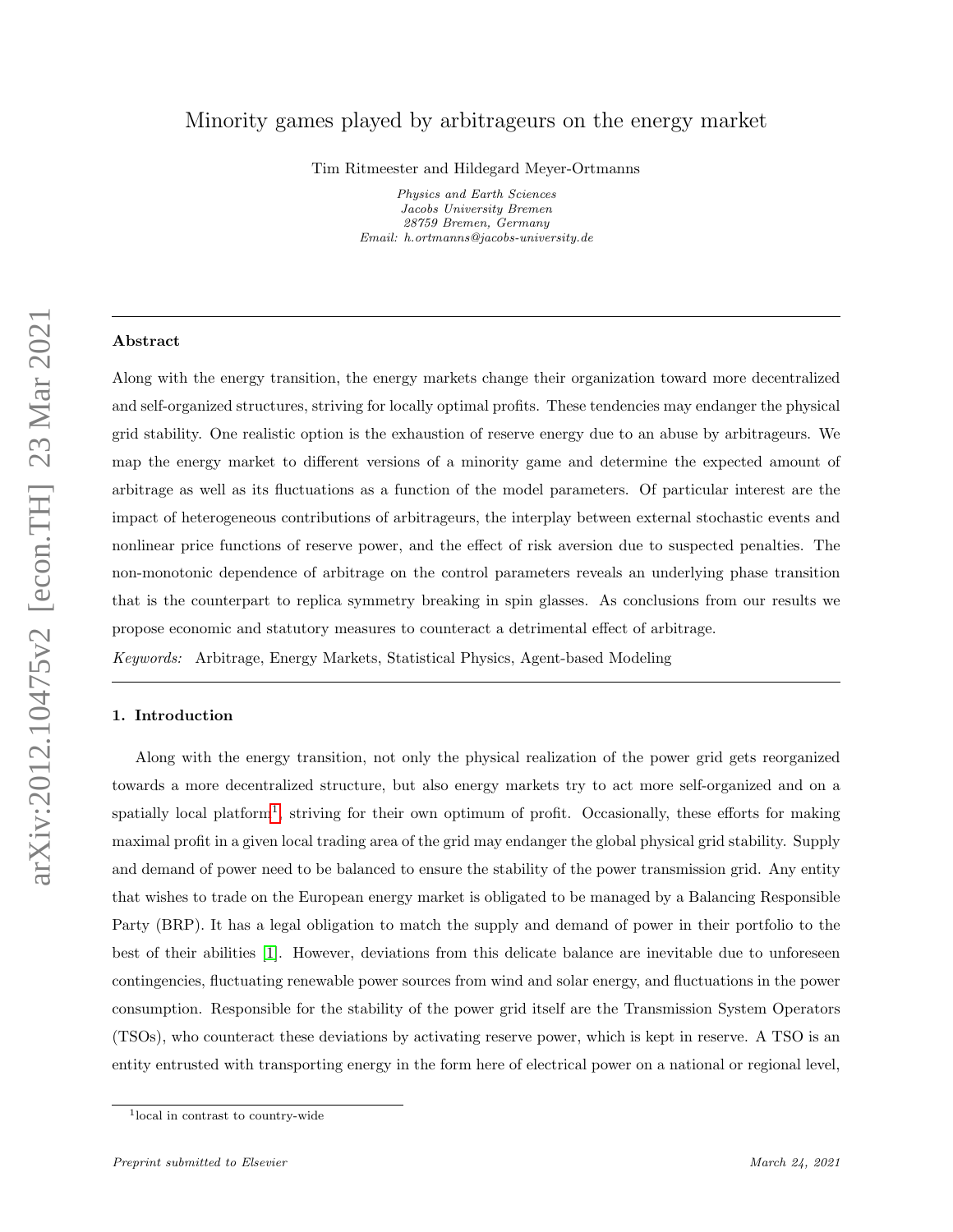# <span id="page-0-2"></span>Minority games played by arbitrageurs on the energy market

Tim Ritmeester and Hildegard Meyer-Ortmanns

Physics and Earth Sciences Jacobs University Bremen 28759 Bremen, Germany Email: h.ortmanns@jacobs-university.de

### Abstract

Along with the energy transition, the energy markets change their organization toward more decentralized and self-organized structures, striving for locally optimal profits. These tendencies may endanger the physical grid stability. One realistic option is the exhaustion of reserve energy due to an abuse by arbitrageurs. We map the energy market to different versions of a minority game and determine the expected amount of arbitrage as well as its fluctuations as a function of the model parameters. Of particular interest are the impact of heterogeneous contributions of arbitrageurs, the interplay between external stochastic events and nonlinear price functions of reserve power, and the effect of risk aversion due to suspected penalties. The non-monotonic dependence of arbitrage on the control parameters reveals an underlying phase transition that is the counterpart to replica symmetry breaking in spin glasses. As conclusions from our results we propose economic and statutory measures to counteract a detrimental effect of arbitrage.

Keywords: Arbitrage, Energy Markets, Statistical Physics, Agent-based Modeling

## <span id="page-0-1"></span>1. Introduction

Along with the energy transition, not only the physical realization of the power grid gets reorganized towards a more decentralized structure, but also energy markets try to act more self-organized and on a spatially local platform<sup>[1](#page-0-0)</sup>, striving for their own optimum of profit. Occasionally, these efforts for making maximal profit in a given local trading area of the grid may endanger the global physical grid stability. Supply and demand of power need to be balanced to ensure the stability of the power transmission grid. Any entity that wishes to trade on the European energy market is obligated to be managed by a Balancing Responsible Party (BRP). It has a legal obligation to match the supply and demand of power in their portfolio to the best of their abilities [\[1\]](#page-28-0). However, deviations from this delicate balance are inevitable due to unforeseen contingencies, fluctuating renewable power sources from wind and solar energy, and fluctuations in the power consumption. Responsible for the stability of the power grid itself are the Transmission System Operators (TSOs), who counteract these deviations by activating reserve power, which is kept in reserve. A TSO is an entity entrusted with transporting energy in the form here of electrical power on a national or regional level,

<span id="page-0-0"></span><sup>1</sup> local in contrast to country-wide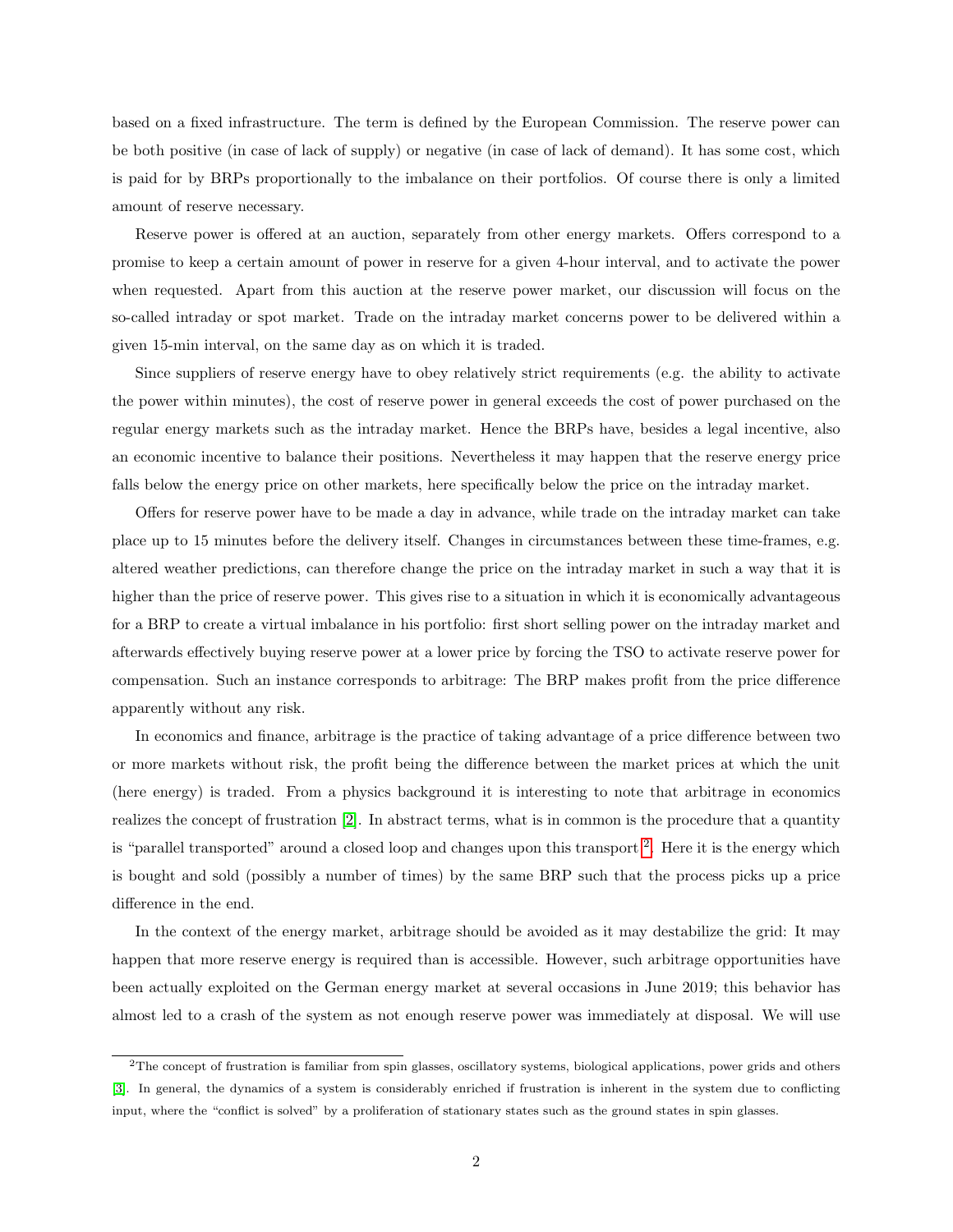based on a fixed infrastructure. The term is defined by the European Commission. The reserve power can be both positive (in case of lack of supply) or negative (in case of lack of demand). It has some cost, which is paid for by BRPs proportionally to the imbalance on their portfolios. Of course there is only a limited amount of reserve necessary.

Reserve power is offered at an auction, separately from other energy markets. Offers correspond to a promise to keep a certain amount of power in reserve for a given 4-hour interval, and to activate the power when requested. Apart from this auction at the reserve power market, our discussion will focus on the so-called intraday or spot market. Trade on the intraday market concerns power to be delivered within a given 15-min interval, on the same day as on which it is traded.

Since suppliers of reserve energy have to obey relatively strict requirements (e.g. the ability to activate the power within minutes), the cost of reserve power in general exceeds the cost of power purchased on the regular energy markets such as the intraday market. Hence the BRPs have, besides a legal incentive, also an economic incentive to balance their positions. Nevertheless it may happen that the reserve energy price falls below the energy price on other markets, here specifically below the price on the intraday market.

Offers for reserve power have to be made a day in advance, while trade on the intraday market can take place up to 15 minutes before the delivery itself. Changes in circumstances between these time-frames, e.g. altered weather predictions, can therefore change the price on the intraday market in such a way that it is higher than the price of reserve power. This gives rise to a situation in which it is economically advantageous for a BRP to create a virtual imbalance in his portfolio: first short selling power on the intraday market and afterwards effectively buying reserve power at a lower price by forcing the TSO to activate reserve power for compensation. Such an instance corresponds to arbitrage: The BRP makes profit from the price difference apparently without any risk.

In economics and finance, arbitrage is the practice of taking advantage of a price difference between two or more markets without risk, the profit being the difference between the market prices at which the unit (here energy) is traded. From a physics background it is interesting to note that arbitrage in economics realizes the concept of frustration [\[2\]](#page-28-1). In abstract terms, what is in common is the procedure that a quantity is "parallel transported" around a closed loop and changes upon this transport<sup>[2](#page-1-0)</sup>. Here it is the energy which is bought and sold (possibly a number of times) by the same BRP such that the process picks up a price difference in the end.

In the context of the energy market, arbitrage should be avoided as it may destabilize the grid: It may happen that more reserve energy is required than is accessible. However, such arbitrage opportunities have been actually exploited on the German energy market at several occasions in June 2019; this behavior has almost led to a crash of the system as not enough reserve power was immediately at disposal. We will use

<span id="page-1-0"></span><sup>2</sup>The concept of frustration is familiar from spin glasses, oscillatory systems, biological applications, power grids and others [\[3\]](#page-28-2). In general, the dynamics of a system is considerably enriched if frustration is inherent in the system due to conflicting input, where the "conflict is solved" by a proliferation of stationary states such as the ground states in spin glasses.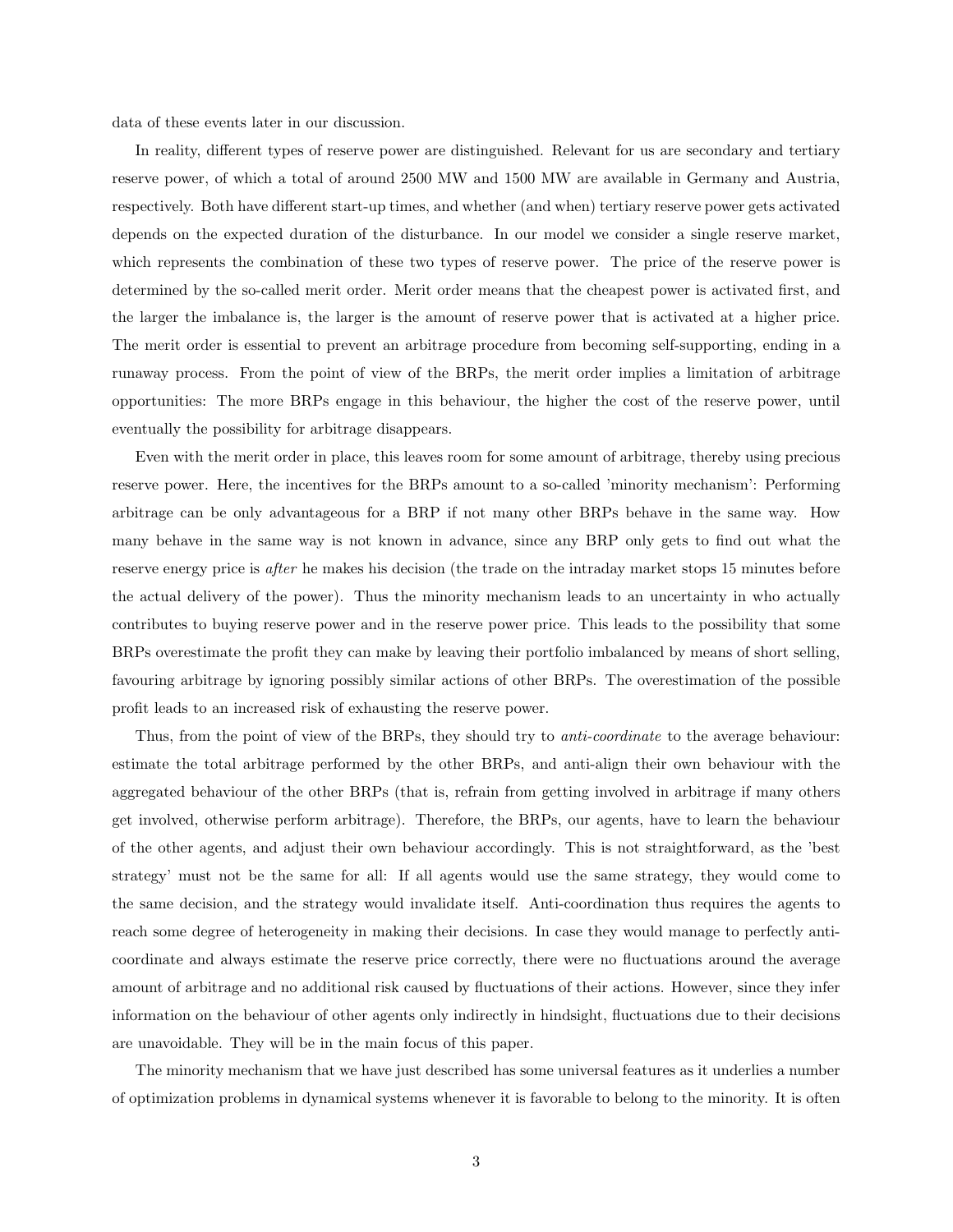data of these events later in our discussion.

In reality, different types of reserve power are distinguished. Relevant for us are secondary and tertiary reserve power, of which a total of around 2500 MW and 1500 MW are available in Germany and Austria, respectively. Both have different start-up times, and whether (and when) tertiary reserve power gets activated depends on the expected duration of the disturbance. In our model we consider a single reserve market, which represents the combination of these two types of reserve power. The price of the reserve power is determined by the so-called merit order. Merit order means that the cheapest power is activated first, and the larger the imbalance is, the larger is the amount of reserve power that is activated at a higher price. The merit order is essential to prevent an arbitrage procedure from becoming self-supporting, ending in a runaway process. From the point of view of the BRPs, the merit order implies a limitation of arbitrage opportunities: The more BRPs engage in this behaviour, the higher the cost of the reserve power, until eventually the possibility for arbitrage disappears.

Even with the merit order in place, this leaves room for some amount of arbitrage, thereby using precious reserve power. Here, the incentives for the BRPs amount to a so-called 'minority mechanism': Performing arbitrage can be only advantageous for a BRP if not many other BRPs behave in the same way. How many behave in the same way is not known in advance, since any BRP only gets to find out what the reserve energy price is *after* he makes his decision (the trade on the intraday market stops 15 minutes before the actual delivery of the power). Thus the minority mechanism leads to an uncertainty in who actually contributes to buying reserve power and in the reserve power price. This leads to the possibility that some BRPs overestimate the profit they can make by leaving their portfolio imbalanced by means of short selling, favouring arbitrage by ignoring possibly similar actions of other BRPs. The overestimation of the possible profit leads to an increased risk of exhausting the reserve power.

Thus, from the point of view of the BRPs, they should try to *anti-coordinate* to the average behaviour: estimate the total arbitrage performed by the other BRPs, and anti-align their own behaviour with the aggregated behaviour of the other BRPs (that is, refrain from getting involved in arbitrage if many others get involved, otherwise perform arbitrage). Therefore, the BRPs, our agents, have to learn the behaviour of the other agents, and adjust their own behaviour accordingly. This is not straightforward, as the 'best strategy' must not be the same for all: If all agents would use the same strategy, they would come to the same decision, and the strategy would invalidate itself. Anti-coordination thus requires the agents to reach some degree of heterogeneity in making their decisions. In case they would manage to perfectly anticoordinate and always estimate the reserve price correctly, there were no fluctuations around the average amount of arbitrage and no additional risk caused by fluctuations of their actions. However, since they infer information on the behaviour of other agents only indirectly in hindsight, fluctuations due to their decisions are unavoidable. They will be in the main focus of this paper.

The minority mechanism that we have just described has some universal features as it underlies a number of optimization problems in dynamical systems whenever it is favorable to belong to the minority. It is often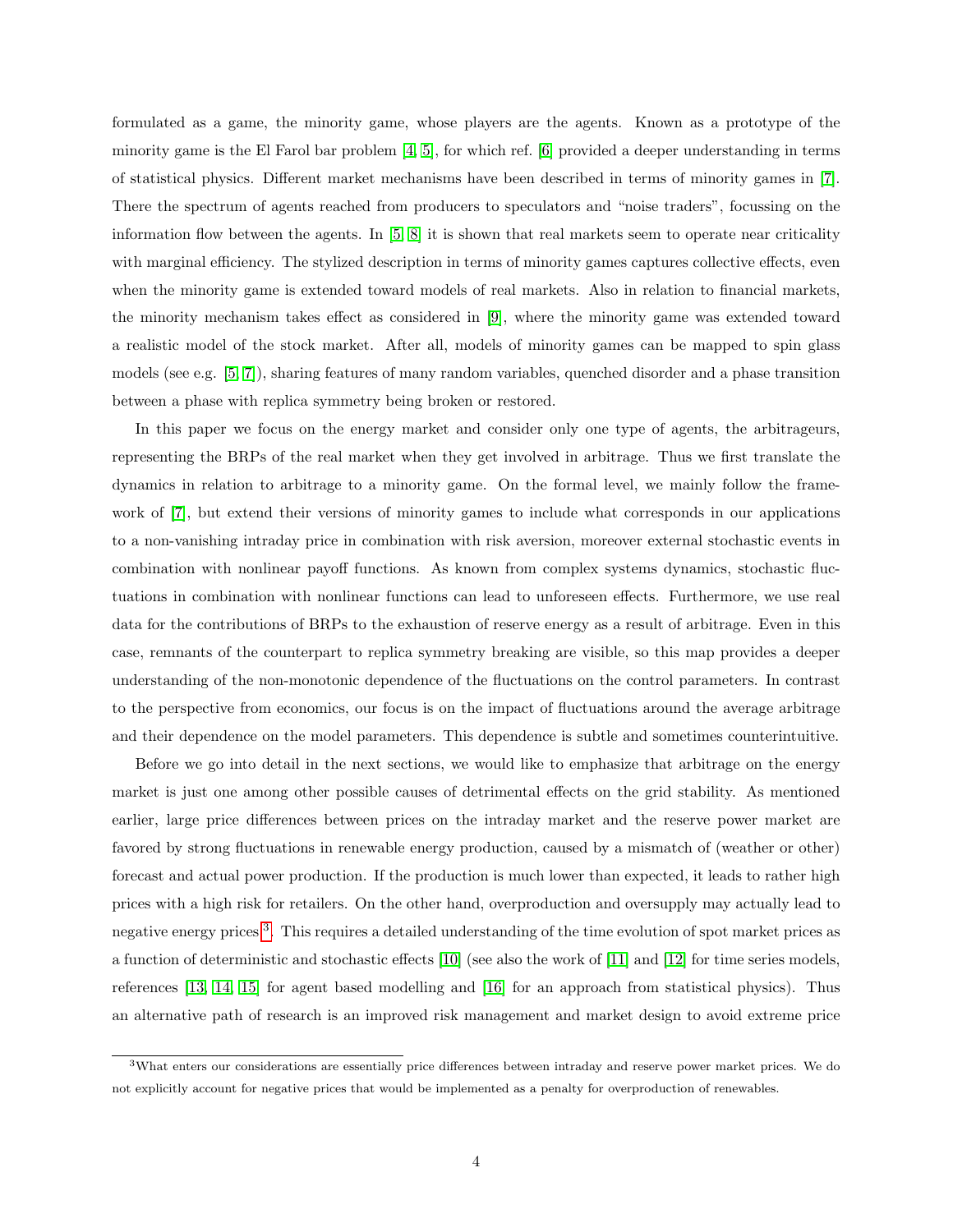formulated as a game, the minority game, whose players are the agents. Known as a prototype of the minority game is the El Farol bar problem [\[4,](#page-29-0) [5\]](#page-29-1), for which ref. [\[6\]](#page-29-2) provided a deeper understanding in terms of statistical physics. Different market mechanisms have been described in terms of minority games in [\[7\]](#page-29-3). There the spectrum of agents reached from producers to speculators and "noise traders", focussing on the information flow between the agents. In  $[5, 8]$  $[5, 8]$  it is shown that real markets seem to operate near criticality with marginal efficiency. The stylized description in terms of minority games captures collective effects, even when the minority game is extended toward models of real markets. Also in relation to financial markets, the minority mechanism takes effect as considered in [\[9\]](#page-29-5), where the minority game was extended toward a realistic model of the stock market. After all, models of minority games can be mapped to spin glass models (see e.g. [\[5,](#page-29-1) [7\]](#page-29-3)), sharing features of many random variables, quenched disorder and a phase transition between a phase with replica symmetry being broken or restored.

In this paper we focus on the energy market and consider only one type of agents, the arbitrageurs, representing the BRPs of the real market when they get involved in arbitrage. Thus we first translate the dynamics in relation to arbitrage to a minority game. On the formal level, we mainly follow the framework of [\[7\]](#page-29-3), but extend their versions of minority games to include what corresponds in our applications to a non-vanishing intraday price in combination with risk aversion, moreover external stochastic events in combination with nonlinear payoff functions. As known from complex systems dynamics, stochastic fluctuations in combination with nonlinear functions can lead to unforeseen effects. Furthermore, we use real data for the contributions of BRPs to the exhaustion of reserve energy as a result of arbitrage. Even in this case, remnants of the counterpart to replica symmetry breaking are visible, so this map provides a deeper understanding of the non-monotonic dependence of the fluctuations on the control parameters. In contrast to the perspective from economics, our focus is on the impact of fluctuations around the average arbitrage and their dependence on the model parameters. This dependence is subtle and sometimes counterintuitive.

Before we go into detail in the next sections, we would like to emphasize that arbitrage on the energy market is just one among other possible causes of detrimental effects on the grid stability. As mentioned earlier, large price differences between prices on the intraday market and the reserve power market are favored by strong fluctuations in renewable energy production, caused by a mismatch of (weather or other) forecast and actual power production. If the production is much lower than expected, it leads to rather high prices with a high risk for retailers. On the other hand, overproduction and oversupply may actually lead to negative energy prices <sup>[3](#page-3-0)</sup>. This requires a detailed understanding of the time evolution of spot market prices as a function of deterministic and stochastic effects [\[10\]](#page-29-6) (see also the work of [\[11\]](#page-29-7) and [\[12\]](#page-29-8) for time series models, references [\[13,](#page-29-9) [14,](#page-29-10) [15\]](#page-30-0) for agent based modelling and [\[16\]](#page-30-1) for an approach from statistical physics). Thus an alternative path of research is an improved risk management and market design to avoid extreme price

<span id="page-3-0"></span> $3$ What enters our considerations are essentially price differences between intraday and reserve power market prices. We do not explicitly account for negative prices that would be implemented as a penalty for overproduction of renewables.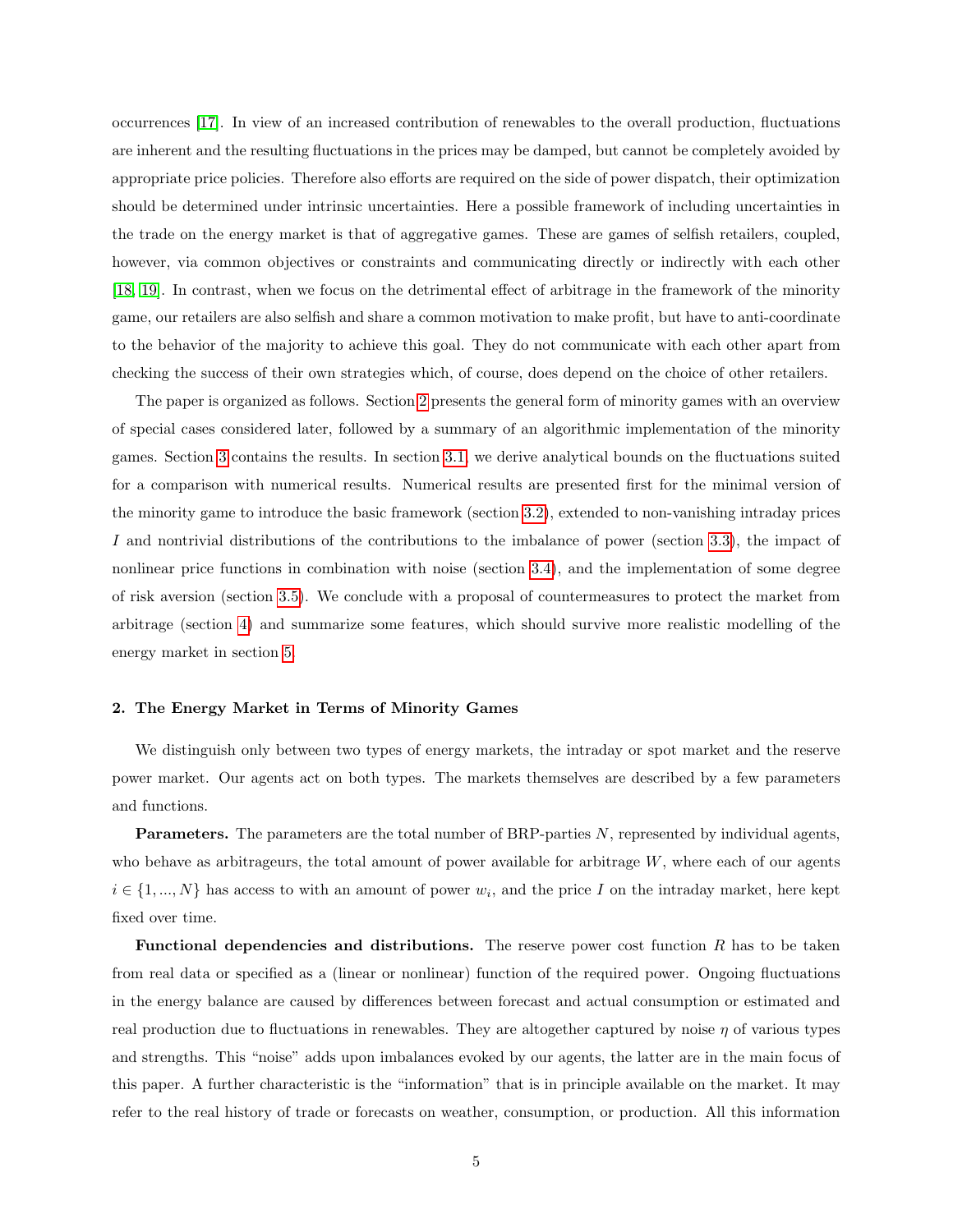occurrences [\[17\]](#page-30-2). In view of an increased contribution of renewables to the overall production, fluctuations are inherent and the resulting fluctuations in the prices may be damped, but cannot be completely avoided by appropriate price policies. Therefore also efforts are required on the side of power dispatch, their optimization should be determined under intrinsic uncertainties. Here a possible framework of including uncertainties in the trade on the energy market is that of aggregative games. These are games of selfish retailers, coupled, however, via common objectives or constraints and communicating directly or indirectly with each other [\[18,](#page-30-3) [19\]](#page-30-4). In contrast, when we focus on the detrimental effect of arbitrage in the framework of the minority game, our retailers are also selfish and share a common motivation to make profit, but have to anti-coordinate to the behavior of the majority to achieve this goal. They do not communicate with each other apart from checking the success of their own strategies which, of course, does depend on the choice of other retailers.

The paper is organized as follows. Section [2](#page-4-0) presents the general form of minority games with an overview of special cases considered later, followed by a summary of an algorithmic implementation of the minority games. Section [3](#page-8-0) contains the results. In section [3.1,](#page-8-1) we derive analytical bounds on the fluctuations suited for a comparison with numerical results. Numerical results are presented first for the minimal version of the minority game to introduce the basic framework (section [3.2\)](#page-10-0), extended to non-vanishing intraday prices I and nontrivial distributions of the contributions to the imbalance of power (section [3.3\)](#page-13-0), the impact of nonlinear price functions in combination with noise (section [3.4\)](#page-15-0), and the implementation of some degree of risk aversion (section [3.5\)](#page-18-0). We conclude with a proposal of countermeasures to protect the market from arbitrage (section [4\)](#page-21-0) and summarize some features, which should survive more realistic modelling of the energy market in section [5.](#page-25-0)

### <span id="page-4-0"></span>2. The Energy Market in Terms of Minority Games

We distinguish only between two types of energy markets, the intraday or spot market and the reserve power market. Our agents act on both types. The markets themselves are described by a few parameters and functions.

**Parameters.** The parameters are the total number of BRP-parties  $N$ , represented by individual agents, who behave as arbitrageurs, the total amount of power available for arbitrage  $W$ , where each of our agents  $i \in \{1, ..., N\}$  has access to with an amount of power  $w_i$ , and the price I on the intraday market, here kept fixed over time.

**Functional dependencies and distributions.** The reserve power cost function  $R$  has to be taken from real data or specified as a (linear or nonlinear) function of the required power. Ongoing fluctuations in the energy balance are caused by differences between forecast and actual consumption or estimated and real production due to fluctuations in renewables. They are altogether captured by noise  $\eta$  of various types and strengths. This "noise" adds upon imbalances evoked by our agents, the latter are in the main focus of this paper. A further characteristic is the "information" that is in principle available on the market. It may refer to the real history of trade or forecasts on weather, consumption, or production. All this information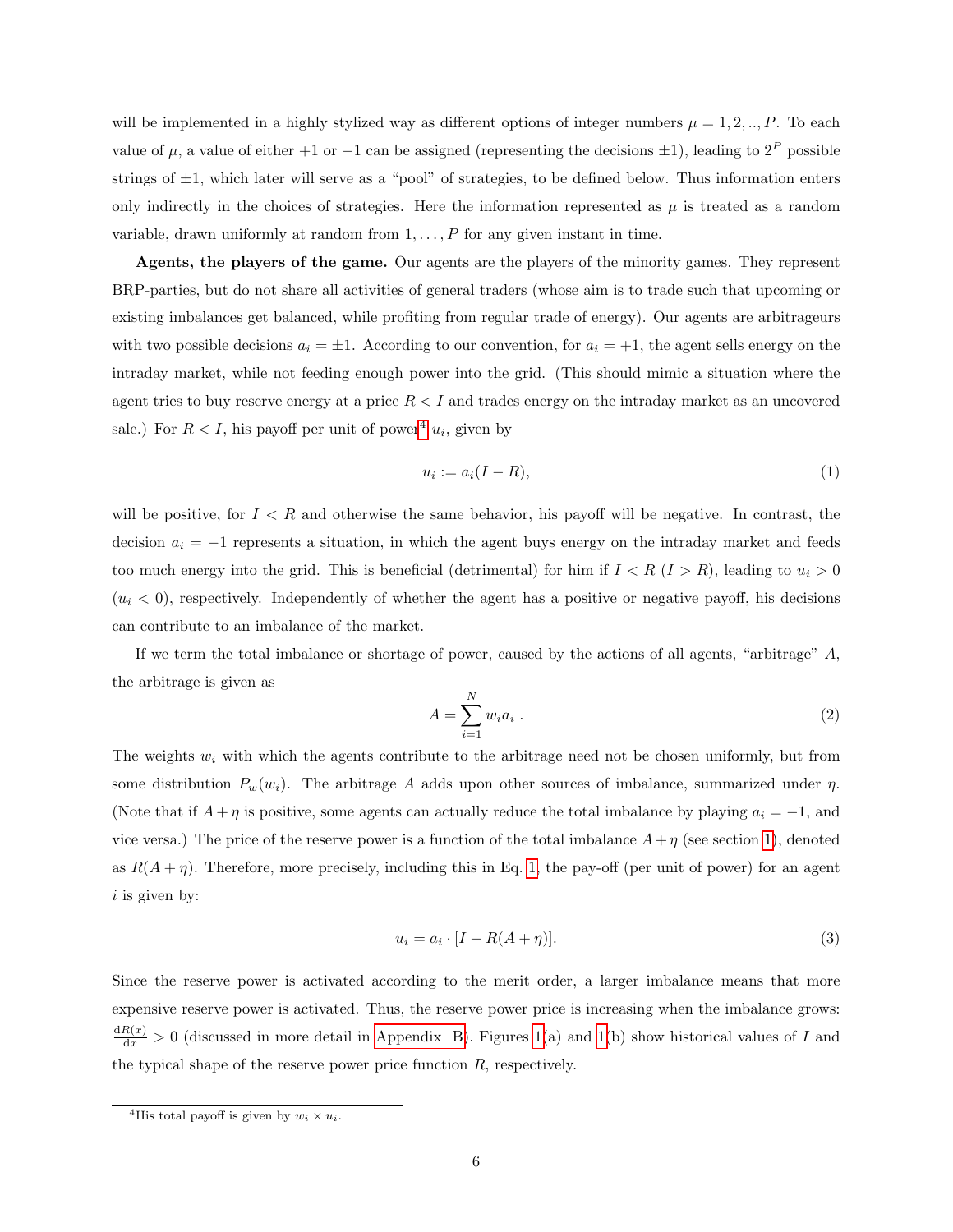will be implemented in a highly stylized way as different options of integer numbers  $\mu = 1, 2, ..., P$ . To each value of  $\mu$ , a value of either +1 or -1 can be assigned (representing the decisions  $\pm 1$ ), leading to  $2^P$  possible strings of  $\pm 1$ , which later will serve as a "pool" of strategies, to be defined below. Thus information enters only indirectly in the choices of strategies. Here the information represented as  $\mu$  is treated as a random variable, drawn uniformly at random from  $1, \ldots, P$  for any given instant in time.

Agents, the players of the game. Our agents are the players of the minority games. They represent BRP-parties, but do not share all activities of general traders (whose aim is to trade such that upcoming or existing imbalances get balanced, while profiting from regular trade of energy). Our agents are arbitrageurs with two possible decisions  $a_i = \pm 1$ . According to our convention, for  $a_i = +1$ , the agent sells energy on the intraday market, while not feeding enough power into the grid. (This should mimic a situation where the agent tries to buy reserve energy at a price  $R < I$  and trades energy on the intraday market as an uncovered sale.) For  $R < I$ , his payoff per unit of power<sup>[4](#page-5-0)</sup>  $u_i$ , given by

<span id="page-5-1"></span>
$$
u_i := a_i(I - R),\tag{1}
$$

will be positive, for  $I < R$  and otherwise the same behavior, his payoff will be negative. In contrast, the decision  $a_i = -1$  represents a situation, in which the agent buys energy on the intraday market and feeds too much energy into the grid. This is beneficial (detrimental) for him if  $I < R$  ( $I > R$ ), leading to  $u_i > 0$  $(u_i < 0)$ , respectively. Independently of whether the agent has a positive or negative payoff, his decisions can contribute to an imbalance of the market.

If we term the total imbalance or shortage of power, caused by the actions of all agents, "arbitrage" A, the arbitrage is given as

$$
A = \sum_{i=1}^{N} w_i a_i . \tag{2}
$$

The weights  $w_i$  with which the agents contribute to the arbitrage need not be chosen uniformly, but from some distribution  $P_w(w_i)$ . The arbitrage A adds upon other sources of imbalance, summarized under  $\eta$ . (Note that if  $A + \eta$  is positive, some agents can actually reduce the total imbalance by playing  $a_i = -1$ , and vice versa.) The price of the reserve power is a function of the total imbalance  $A+\eta$  (see section [1\)](#page-0-1), denoted as  $R(A + \eta)$ . Therefore, more precisely, including this in Eq. [1,](#page-5-1) the pay-off (per unit of power) for an agent  $i$  is given by:

<span id="page-5-2"></span>
$$
u_i = a_i \cdot [I - R(A + \eta)]. \tag{3}
$$

Since the reserve power is activated according to the merit order, a larger imbalance means that more expensive reserve power is activated. Thus, the reserve power price is increasing when the imbalance grows:  $\frac{dR(x)}{dx} > 0$  (discussed in more detail in [Appendix B\)](#page-27-0). Figures [1\(](#page-6-0)a) and 1(b) show historical values of I and the typical shape of the reserve power price function  $R$ , respectively.

<span id="page-5-0"></span><sup>&</sup>lt;sup>4</sup>His total payoff is given by  $w_i \times u_i$ .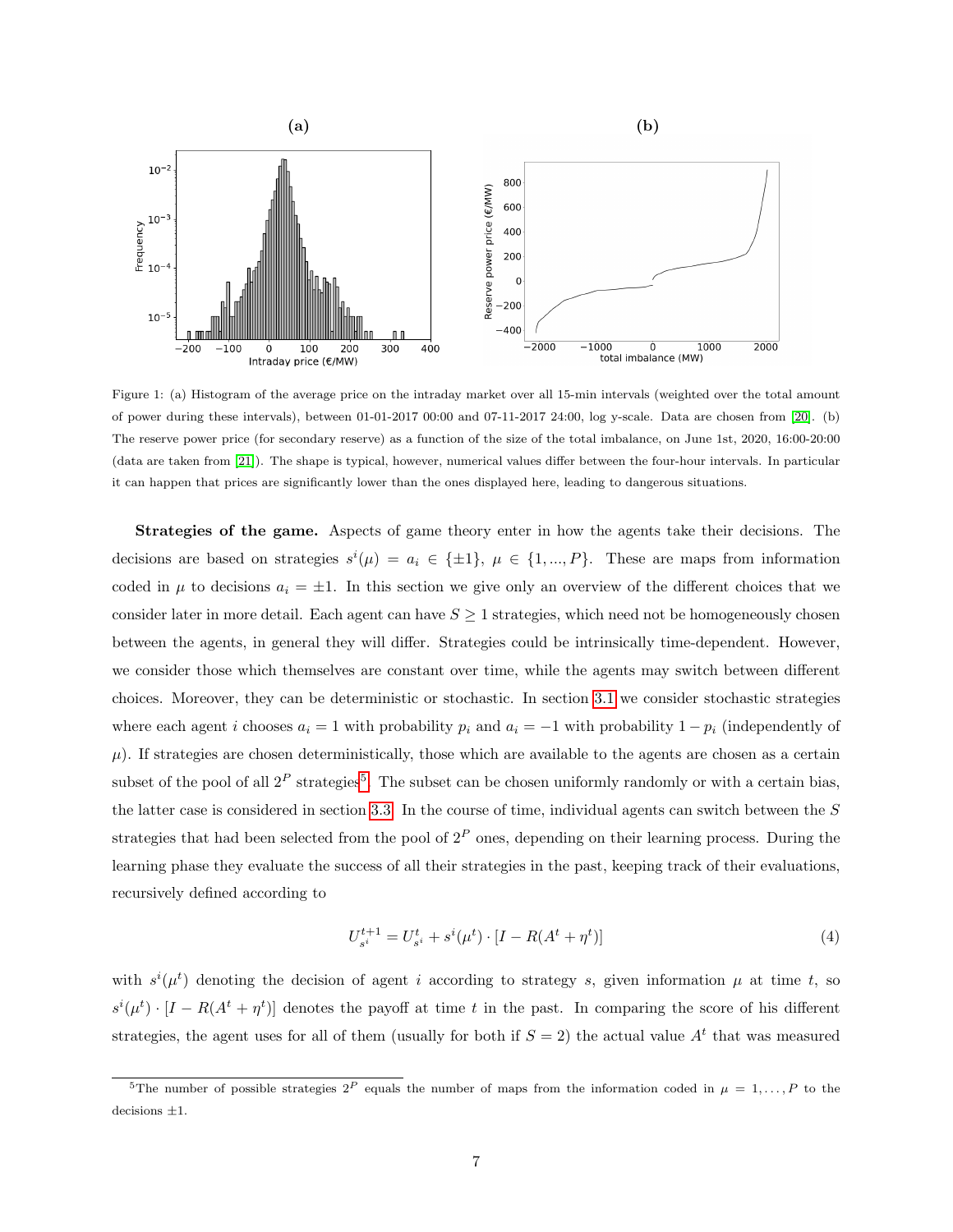

<span id="page-6-0"></span>Figure 1: (a) Histogram of the average price on the intraday market over all 15-min intervals (weighted over the total amount of power during these intervals), between 01-01-2017 00:00 and 07-11-2017 24:00, log y-scale. Data are chosen from [\[20\]](#page-30-5). (b) The reserve power price (for secondary reserve) as a function of the size of the total imbalance, on June 1st, 2020, 16:00-20:00 (data are taken from [\[21\]](#page-30-6)). The shape is typical, however, numerical values differ between the four-hour intervals. In particular it can happen that prices are significantly lower than the ones displayed here, leading to dangerous situations.

Strategies of the game. Aspects of game theory enter in how the agents take their decisions. The decisions are based on strategies  $s^{i}(\mu) = a_{i} \in \{\pm 1\}, \mu \in \{1, ..., P\}.$  These are maps from information coded in  $\mu$  to decisions  $a_i = \pm 1$ . In this section we give only an overview of the different choices that we consider later in more detail. Each agent can have  $S \geq 1$  strategies, which need not be homogeneously chosen between the agents, in general they will differ. Strategies could be intrinsically time-dependent. However, we consider those which themselves are constant over time, while the agents may switch between different choices. Moreover, they can be deterministic or stochastic. In section [3.1](#page-8-1) we consider stochastic strategies where each agent i chooses  $a_i = 1$  with probability  $p_i$  and  $a_i = -1$  with probability  $1 - p_i$  (independently of  $\mu$ ). If strategies are chosen deterministically, those which are available to the agents are chosen as a certain subset of the pool of all  $2^P$  strategies<sup>[5](#page-6-1)</sup>. The subset can be chosen uniformly randomly or with a certain bias, the latter case is considered in section [3.3.](#page-13-0) In the course of time, individual agents can switch between the S strategies that had been selected from the pool of  $2^P$  ones, depending on their learning process. During the learning phase they evaluate the success of all their strategies in the past, keeping track of their evaluations, recursively defined according to

<span id="page-6-2"></span>
$$
U_{s^i}^{t+1} = U_{s^i}^t + s^i(\mu^t) \cdot [I - R(A^t + \eta^t)] \tag{4}
$$

with  $s^{i}(\mu^{t})$  denoting the decision of agent i according to strategy s, given information  $\mu$  at time t, so  $s^{i}(\mu^{t}) \cdot [I - R(A^{t} + \eta^{t})]$  denotes the payoff at time t in the past. In comparing the score of his different strategies, the agent uses for all of them (usually for both if  $S = 2$ ) the actual value  $A<sup>t</sup>$  that was measured

<span id="page-6-1"></span><sup>&</sup>lt;sup>5</sup>The number of possible strategies  $2^P$  equals the number of maps from the information coded in  $\mu = 1, \ldots, P$  to the decisions  $\pm 1.$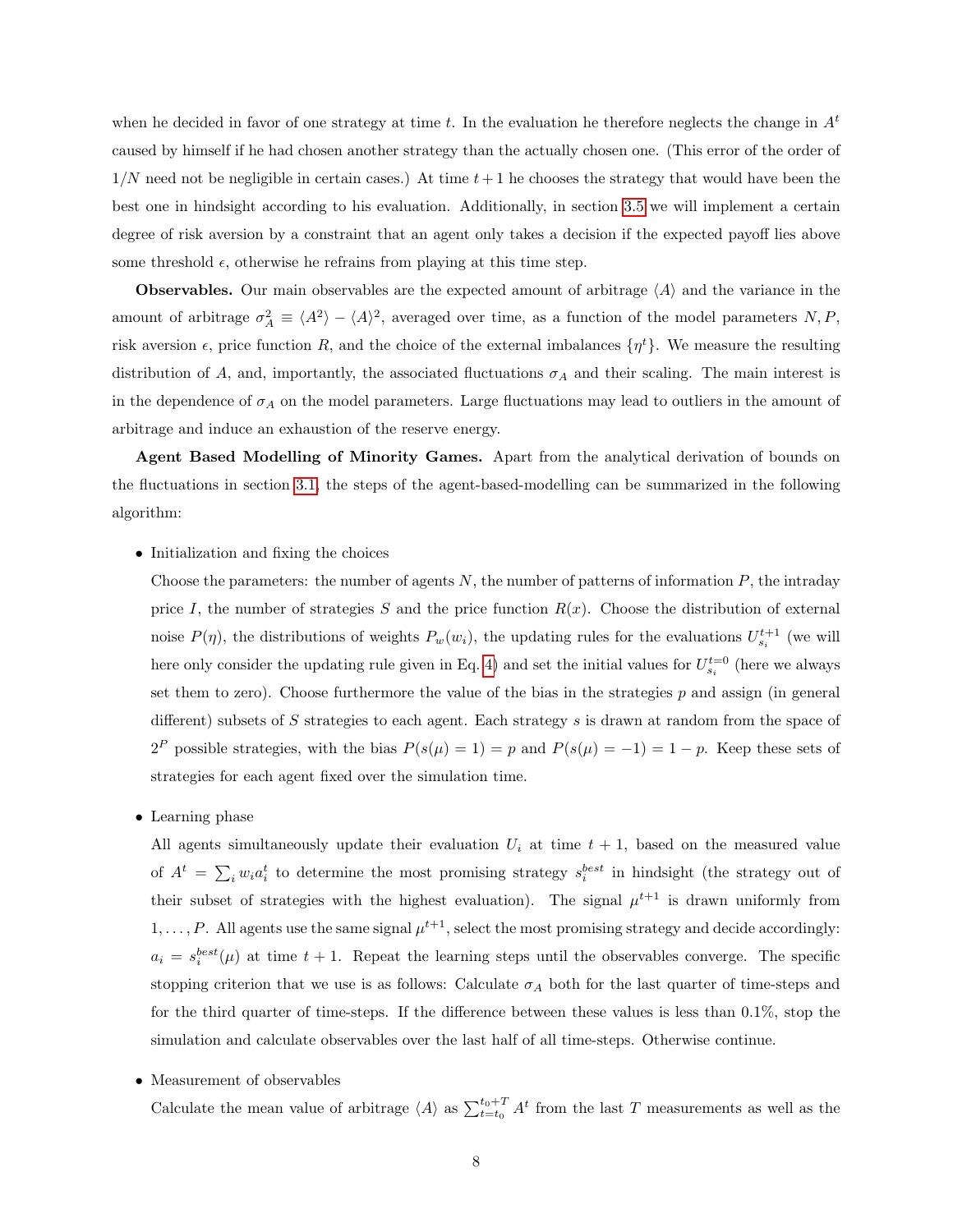when he decided in favor of one strategy at time t. In the evaluation he therefore neglects the change in  $A<sup>t</sup>$ caused by himself if he had chosen another strategy than the actually chosen one. (This error of the order of  $1/N$  need not be negligible in certain cases.) At time  $t+1$  he chooses the strategy that would have been the best one in hindsight according to his evaluation. Additionally, in section [3.5](#page-18-0) we will implement a certain degree of risk aversion by a constraint that an agent only takes a decision if the expected payoff lies above some threshold  $\epsilon$ , otherwise he refrains from playing at this time step.

**Observables.** Our main observables are the expected amount of arbitrage  $\langle A \rangle$  and the variance in the amount of arbitrage  $\sigma_A^2 \equiv \langle A^2 \rangle - \langle A \rangle^2$ , averaged over time, as a function of the model parameters N, P, risk aversion  $\epsilon$ , price function R, and the choice of the external imbalances  $\{\eta^t\}$ . We measure the resulting distribution of A, and, importantly, the associated fluctuations  $\sigma_A$  and their scaling. The main interest is in the dependence of  $\sigma_A$  on the model parameters. Large fluctuations may lead to outliers in the amount of arbitrage and induce an exhaustion of the reserve energy.

Agent Based Modelling of Minority Games. Apart from the analytical derivation of bounds on the fluctuations in section [3.1,](#page-8-1) the steps of the agent-based-modelling can be summarized in the following algorithm:

### • Initialization and fixing the choices

Choose the parameters: the number of agents  $N$ , the number of patterns of information  $P$ , the intraday price I, the number of strategies S and the price function  $R(x)$ . Choose the distribution of external noise  $P(\eta)$ , the distributions of weights  $P_w(w_i)$ , the updating rules for the evaluations  $U_{s_i}^{t+1}$  (we will here only consider the updating rule given in Eq. [4\)](#page-6-2) and set the initial values for  $U_{s_i}^{t=0}$  (here we always set them to zero). Choose furthermore the value of the bias in the strategies  $p$  and assign (in general different) subsets of  $S$  strategies to each agent. Each strategy  $s$  is drawn at random from the space of  $2^P$  possible strategies, with the bias  $P(s(\mu) = 1) = p$  and  $P(s(\mu) = -1) = 1 - p$ . Keep these sets of strategies for each agent fixed over the simulation time.

• Learning phase

All agents simultaneously update their evaluation  $U_i$  at time  $t + 1$ , based on the measured value of  $A^t = \sum_i w_i a_i^t$  to determine the most promising strategy  $s_i^{best}$  in hindsight (the strategy out of their subset of strategies with the highest evaluation). The signal  $\mu^{t+1}$  is drawn uniformly from  $1, \ldots, P$ . All agents use the same signal  $\mu^{t+1}$ , select the most promising strategy and decide accordingly:  $a_i = s_i^{best}(\mu)$  at time  $t + 1$ . Repeat the learning steps until the observables converge. The specific stopping criterion that we use is as follows: Calculate  $\sigma_A$  both for the last quarter of time-steps and for the third quarter of time-steps. If the difference between these values is less than  $0.1\%$ , stop the simulation and calculate observables over the last half of all time-steps. Otherwise continue.

• Measurement of observables

Calculate the mean value of arbitrage  $\langle A \rangle$  as  $\sum_{t=t_0}^{t_0+T} A^t$  from the last T measurements as well as the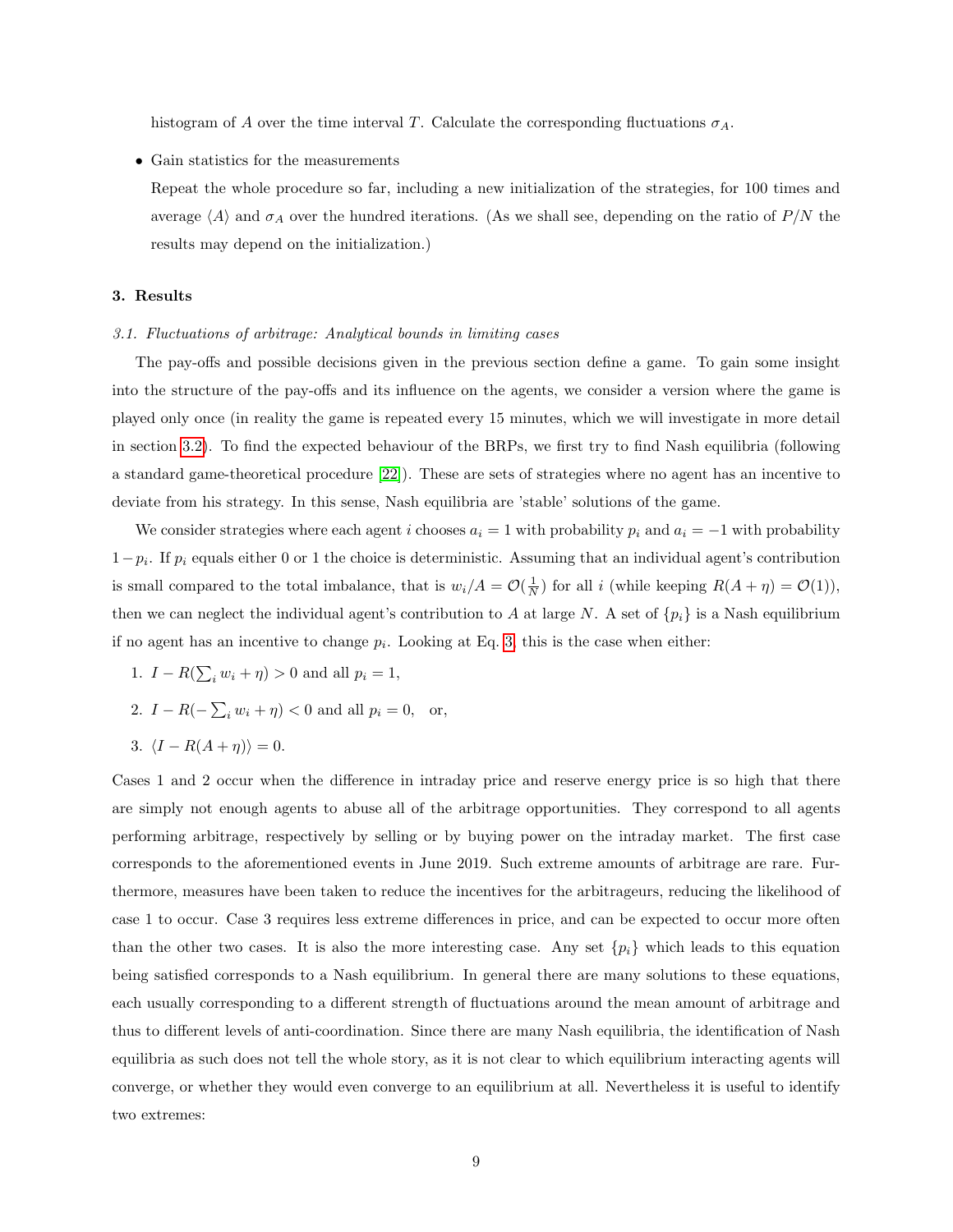histogram of A over the time interval T. Calculate the corresponding fluctuations  $\sigma_A$ .

- Gain statistics for the measurements
	- Repeat the whole procedure so far, including a new initialization of the strategies, for 100 times and average  $\langle A \rangle$  and  $\sigma_A$  over the hundred iterations. (As we shall see, depending on the ratio of P/N the results may depend on the initialization.)

#### <span id="page-8-0"></span>3. Results

#### <span id="page-8-1"></span>3.1. Fluctuations of arbitrage: Analytical bounds in limiting cases

The pay-offs and possible decisions given in the previous section define a game. To gain some insight into the structure of the pay-offs and its influence on the agents, we consider a version where the game is played only once (in reality the game is repeated every 15 minutes, which we will investigate in more detail in section [3.2\)](#page-10-0). To find the expected behaviour of the BRPs, we first try to find Nash equilibria (following a standard game-theoretical procedure [\[22\]](#page-30-7)). These are sets of strategies where no agent has an incentive to deviate from his strategy. In this sense, Nash equilibria are 'stable' solutions of the game.

We consider strategies where each agent i chooses  $a_i = 1$  with probability  $p_i$  and  $a_i = -1$  with probability  $1-p_i$ . If  $p_i$  equals either 0 or 1 the choice is deterministic. Assuming that an individual agent's contribution is small compared to the total imbalance, that is  $w_i/A = \mathcal{O}(\frac{1}{N})$  for all i (while keeping  $R(A + \eta) = \mathcal{O}(1)$ ), then we can neglect the individual agent's contribution to A at large N. A set of  $\{p_i\}$  is a Nash equilibrium if no agent has an incentive to change  $p_i$ . Looking at Eq. [3,](#page-5-2) this is the case when either:

- 1.  $I R(\sum_i w_i + \eta) > 0$  and all  $p_i = 1$ ,
- 2.  $I R(-\sum_i w_i + \eta) < 0$  and all  $p_i = 0$ , or,
- 3.  $\langle I R(A + \eta) \rangle = 0.$

Cases 1 and 2 occur when the difference in intraday price and reserve energy price is so high that there are simply not enough agents to abuse all of the arbitrage opportunities. They correspond to all agents performing arbitrage, respectively by selling or by buying power on the intraday market. The first case corresponds to the aforementioned events in June 2019. Such extreme amounts of arbitrage are rare. Furthermore, measures have been taken to reduce the incentives for the arbitrageurs, reducing the likelihood of case 1 to occur. Case 3 requires less extreme differences in price, and can be expected to occur more often than the other two cases. It is also the more interesting case. Any set  $\{p_i\}$  which leads to this equation being satisfied corresponds to a Nash equilibrium. In general there are many solutions to these equations, each usually corresponding to a different strength of fluctuations around the mean amount of arbitrage and thus to different levels of anti-coordination. Since there are many Nash equilibria, the identification of Nash equilibria as such does not tell the whole story, as it is not clear to which equilibrium interacting agents will converge, or whether they would even converge to an equilibrium at all. Nevertheless it is useful to identify two extremes: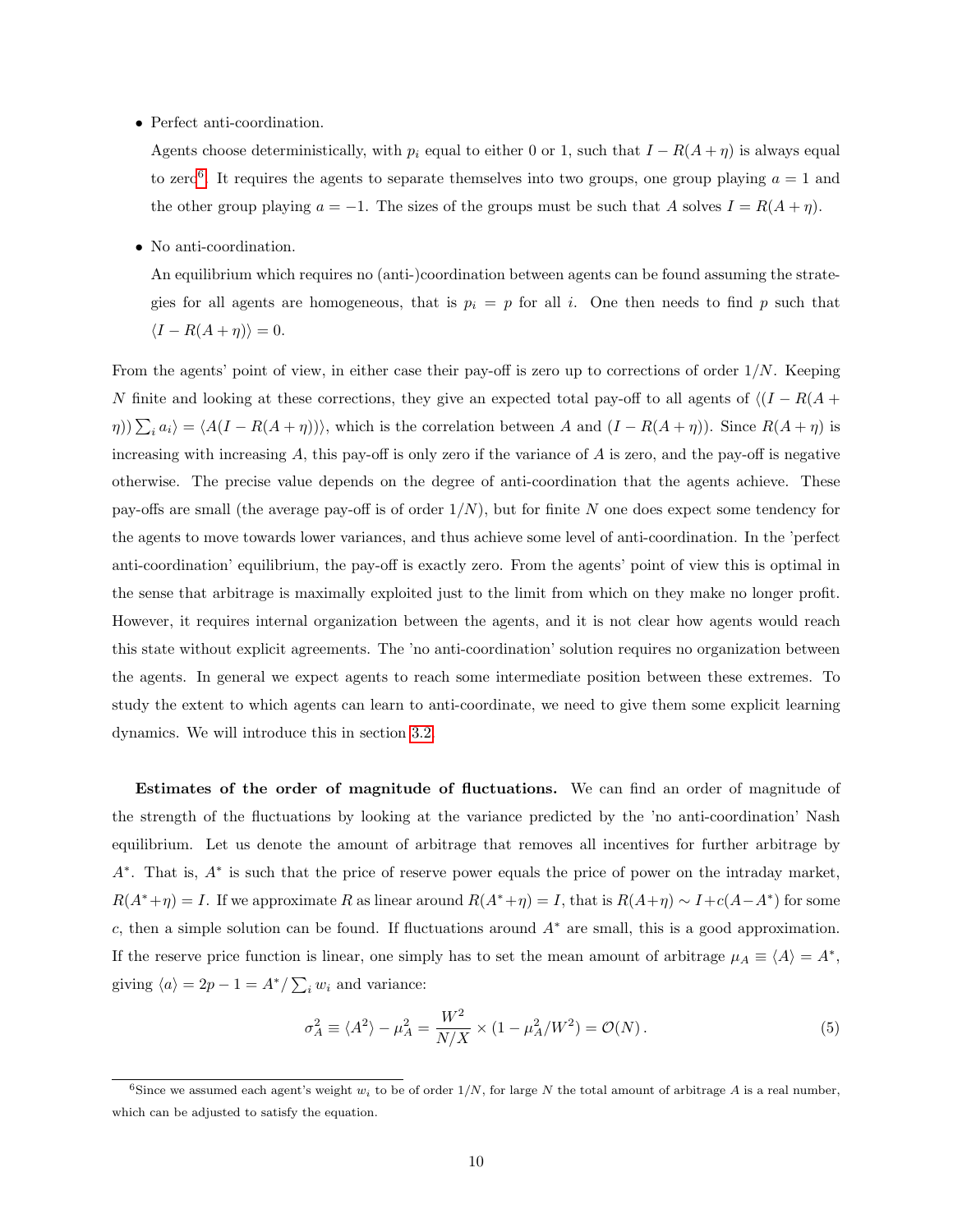• Perfect anti-coordination.

Agents choose deterministically, with  $p_i$  equal to either 0 or 1, such that  $I - R(A + \eta)$  is always equal to zero<sup>[6](#page-9-0)</sup>. It requires the agents to separate themselves into two groups, one group playing  $a = 1$  and the other group playing  $a = -1$ . The sizes of the groups must be such that A solves  $I = R(A + \eta)$ .

• No anti-coordination.

An equilibrium which requires no (anti-)coordination between agents can be found assuming the strategies for all agents are homogeneous, that is  $p_i = p$  for all i. One then needs to find p such that  $\langle I - R(A + \eta) \rangle = 0.$ 

From the agents' point of view, in either case their pay-off is zero up to corrections of order 1/N. Keeping N finite and looking at these corrections, they give an expected total pay-off to all agents of  $\langle (I - R(A +$  $(\eta)$ ) $\sum_i a_i$  =  $\langle A(I - R(A + \eta)) \rangle$ , which is the correlation between A and  $(I - R(A + \eta))$ . Since  $R(A + \eta)$  is increasing with increasing  $A$ , this pay-off is only zero if the variance of  $A$  is zero, and the pay-off is negative otherwise. The precise value depends on the degree of anti-coordination that the agents achieve. These pay-offs are small (the average pay-off is of order  $1/N$ ), but for finite N one does expect some tendency for the agents to move towards lower variances, and thus achieve some level of anti-coordination. In the 'perfect anti-coordination' equilibrium, the pay-off is exactly zero. From the agents' point of view this is optimal in the sense that arbitrage is maximally exploited just to the limit from which on they make no longer profit. However, it requires internal organization between the agents, and it is not clear how agents would reach this state without explicit agreements. The 'no anti-coordination' solution requires no organization between the agents. In general we expect agents to reach some intermediate position between these extremes. To study the extent to which agents can learn to anti-coordinate, we need to give them some explicit learning dynamics. We will introduce this in section [3.2.](#page-10-0)

Estimates of the order of magnitude of fluctuations. We can find an order of magnitude of the strength of the fluctuations by looking at the variance predicted by the 'no anti-coordination' Nash equilibrium. Let us denote the amount of arbitrage that removes all incentives for further arbitrage by A<sup>∗</sup> . That is, A<sup>∗</sup> is such that the price of reserve power equals the price of power on the intraday market,  $R(A^*+\eta) = I$ . If we approximate R as linear around  $R(A^*+\eta) = I$ , that is  $R(A+\eta) \sim I + c(A-A^*)$  for some c, then a simple solution can be found. If fluctuations around  $A^*$  are small, this is a good approximation. If the reserve price function is linear, one simply has to set the mean amount of arbitrage  $\mu_A \equiv \langle A \rangle = A^*$ , giving  $\langle a \rangle = 2p - 1 = A^* / \sum_i w_i$  and variance:

<span id="page-9-1"></span>
$$
\sigma_A^2 \equiv \langle A^2 \rangle - \mu_A^2 = \frac{W^2}{N/X} \times (1 - \mu_A^2/W^2) = \mathcal{O}(N). \tag{5}
$$

<span id="page-9-0"></span><sup>&</sup>lt;sup>6</sup>Since we assumed each agent's weight  $w_i$  to be of order  $1/N$ , for large N the total amount of arbitrage A is a real number, which can be adjusted to satisfy the equation.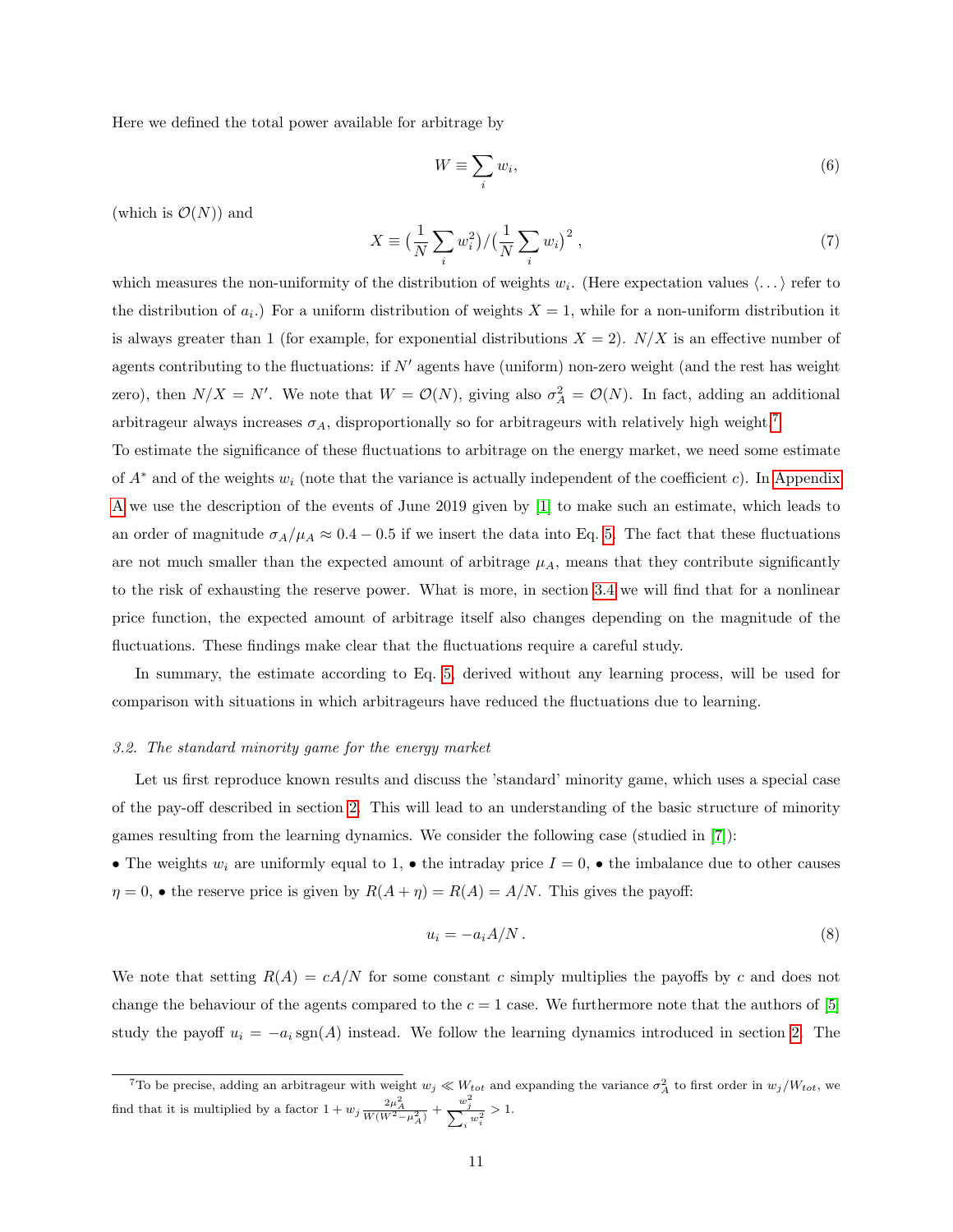Here we defined the total power available for arbitrage by

$$
W \equiv \sum_{i} w_i,\tag{6}
$$

(which is  $\mathcal{O}(N)$ ) and

$$
X \equiv \left(\frac{1}{N} \sum_{i} w_i^2\right) / \left(\frac{1}{N} \sum_{i} w_i\right)^2, \tag{7}
$$

which measures the non-uniformity of the distribution of weights  $w_i$ . (Here expectation values  $\langle \ldots \rangle$  refer to the distribution of  $a_i$ .) For a uniform distribution of weights  $X = 1$ , while for a non-uniform distribution it is always greater than 1 (for example, for exponential distributions  $X = 2$ ).  $N/X$  is an effective number of agents contributing to the fluctuations: if  $N'$  agents have (uniform) non-zero weight (and the rest has weight zero), then  $N/X = N'$ . We note that  $W = \mathcal{O}(N)$ , giving also  $\sigma_A^2 = \mathcal{O}(N)$ . In fact, adding an additional arbitrageur always increases  $\sigma_A$ , disproportionally so for arbitrageurs with relatively high weight.<sup>[7](#page-10-1)</sup>

To estimate the significance of these fluctuations to arbitrage on the energy market, we need some estimate of  $A^*$  and of the weights  $w_i$  (note that the variance is actually independent of the coefficient c). In [Appendix](#page-26-0) [A](#page-26-0) we use the description of the events of June 2019 given by [\[1\]](#page-28-0) to make such an estimate, which leads to an order of magnitude  $\sigma_A/\mu_A \approx 0.4 - 0.5$  if we insert the data into Eq. [5.](#page-9-1) The fact that these fluctuations are not much smaller than the expected amount of arbitrage  $\mu_A$ , means that they contribute significantly to the risk of exhausting the reserve power. What is more, in section [3.4](#page-15-0) we will find that for a nonlinear price function, the expected amount of arbitrage itself also changes depending on the magnitude of the fluctuations. These findings make clear that the fluctuations require a careful study.

In summary, the estimate according to Eq. [5,](#page-9-1) derived without any learning process, will be used for comparison with situations in which arbitrageurs have reduced the fluctuations due to learning.

### <span id="page-10-0"></span>3.2. The standard minority game for the energy market

Let us first reproduce known results and discuss the 'standard' minority game, which uses a special case of the pay-off described in section [2.](#page-4-0) This will lead to an understanding of the basic structure of minority games resulting from the learning dynamics. We consider the following case (studied in [\[7\]](#page-29-3)):

• The weights  $w_i$  are uniformly equal to 1, • the intraday price  $I = 0$ , • the imbalance due to other causes  $\eta = 0$ ,  $\bullet$  the reserve price is given by  $R(A + \eta) = R(A) = A/N$ . This gives the payoff:

$$
u_i = -a_i A/N. \tag{8}
$$

We note that setting  $R(A) = cA/N$  for some constant c simply multiplies the payoffs by c and does not change the behaviour of the agents compared to the  $c = 1$  case. We furthermore note that the authors of [\[5\]](#page-29-1) study the payoff  $u_i = -a_i \text{sgn}(A)$  instead. We follow the learning dynamics introduced in section [2.](#page-4-0) The

<span id="page-10-1"></span><sup>&</sup>lt;sup>7</sup>To be precise, adding an arbitrageur with weight  $w_j \ll W_{tot}$  and expanding the variance  $\sigma_A^2$  to first order in  $w_j/W_{tot}$ , we find that it is multiplied by a factor  $1 + w_j \frac{2\mu_A^2}{W(W^2 - \mu_A^2)} + \frac{w_j^2}{\sum_i w_i^2} > 1$ .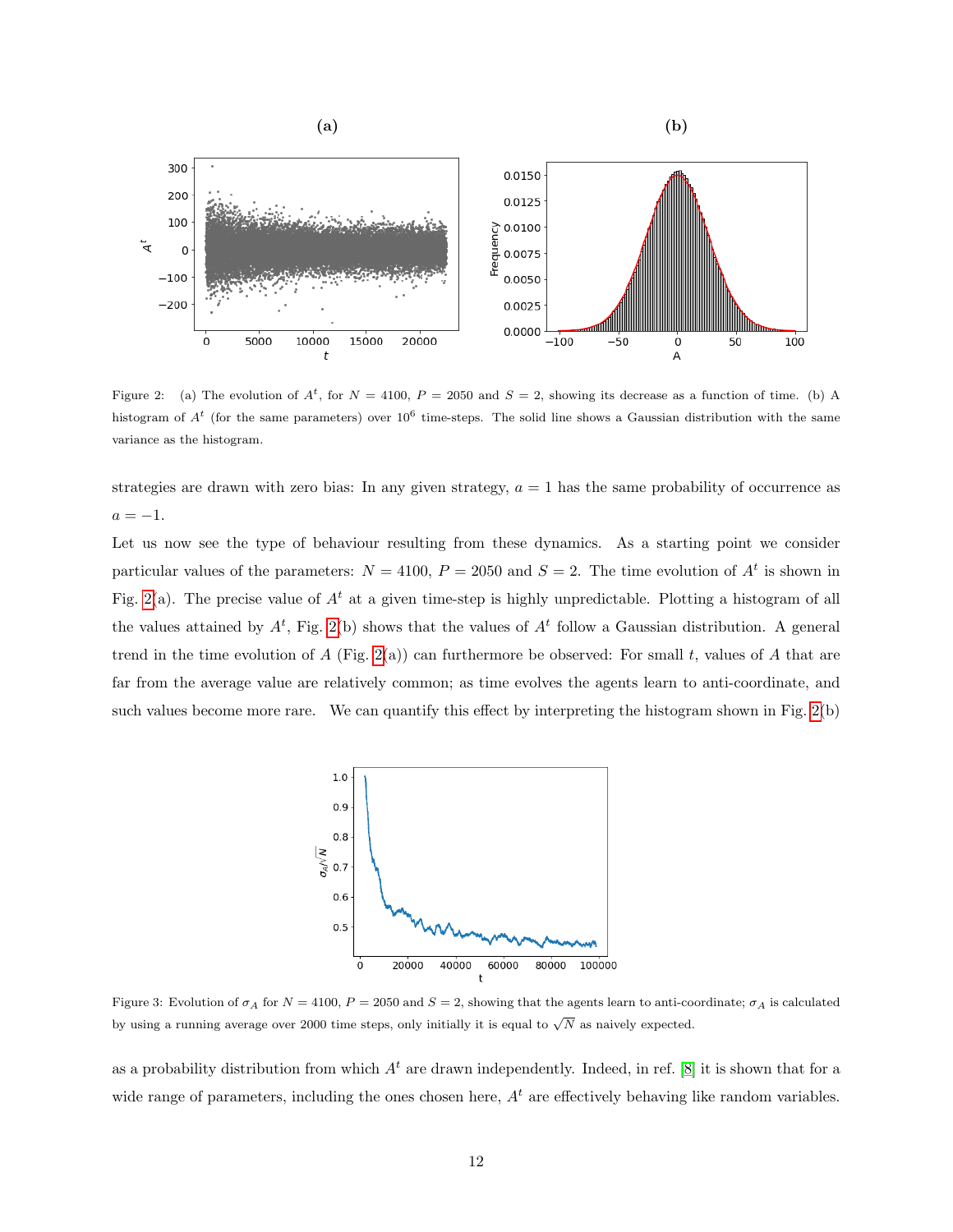

<span id="page-11-0"></span>Figure 2: (a) The evolution of  $A^t$ , for  $N = 4100$ ,  $P = 2050$  and  $S = 2$ , showing its decrease as a function of time. (b) A histogram of  $A^t$  (for the same parameters) over  $10^6$  time-steps. The solid line shows a Gaussian distribution with the same variance as the histogram.

strategies are drawn with zero bias: In any given strategy,  $a = 1$  has the same probability of occurrence as  $a = -1$ .

Let us now see the type of behaviour resulting from these dynamics. As a starting point we consider particular values of the parameters:  $N = 4100$ ,  $P = 2050$  and  $S = 2$ . The time evolution of  $A<sup>t</sup>$  is shown in Fig. [2\(](#page-11-0)a). The precise value of  $A<sup>t</sup>$  at a given time-step is highly unpredictable. Plotting a histogram of all the values attained by  $A^t$ , Fig. [2\(](#page-11-0)b) shows that the values of  $A^t$  follow a Gaussian distribution. A general trend in the time evolution of  $A$  (Fig. [2\(](#page-11-0)a)) can furthermore be observed: For small t, values of  $A$  that are far from the average value are relatively common; as time evolves the agents learn to anti-coordinate, and such values become more rare. We can quantify this effect by interpreting the histogram shown in Fig. [2\(](#page-11-0)b)



<span id="page-11-1"></span>Figure 3: Evolution of  $\sigma_A$  for  $N = 4100$ ,  $P = 2050$  and  $S = 2$ , showing that the agents learn to anti-coordinate;  $\sigma_A$  is calculated by using a running average over 2000 time steps, only initially it is equal to  $\sqrt{N}$  as naively expected.

as a probability distribution from which  $A<sup>t</sup>$  are drawn independently. Indeed, in ref. [\[8\]](#page-29-4) it is shown that for a wide range of parameters, including the ones chosen here,  $A<sup>t</sup>$  are effectively behaving like random variables.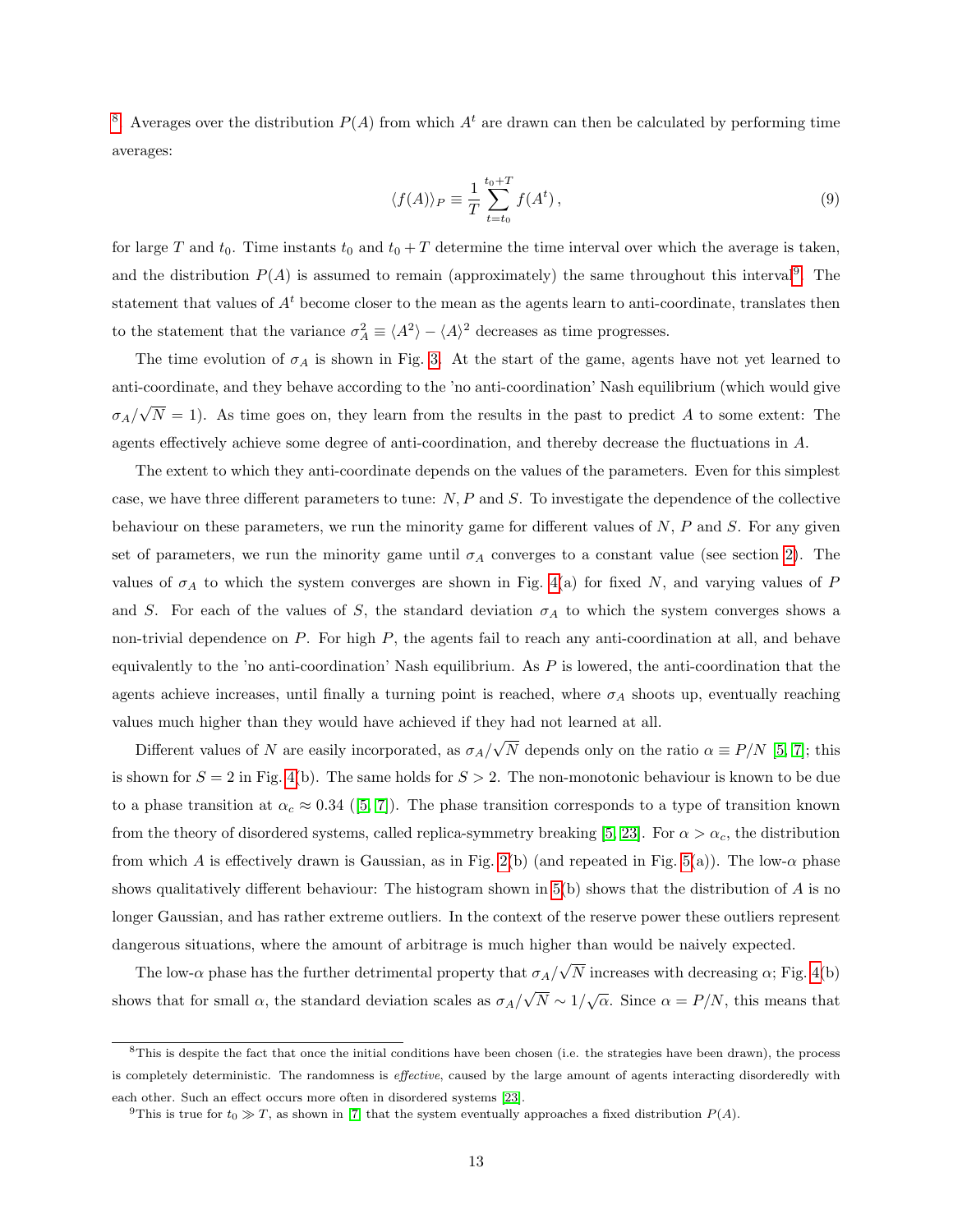<sup>[8](#page-12-0)</sup>. Averages over the distribution  $P(A)$  from which  $A<sup>t</sup>$  are drawn can then be calculated by performing time averages:

$$
\langle f(A) \rangle_P \equiv \frac{1}{T} \sum_{t=t_0}^{t_0+T} f(A^t), \qquad (9)
$$

for large T and  $t_0$ . Time instants  $t_0$  and  $t_0 + T$  determine the time interval over which the average is taken, and the distribution  $P(A)$  is assumed to remain (approximately) the same throughout this interval<sup>[9](#page-12-1)</sup>. The statement that values of  $A<sup>t</sup>$  become closer to the mean as the agents learn to anti-coordinate, translates then to the statement that the variance  $\sigma_A^2 \equiv \langle A^2 \rangle - \langle A \rangle^2$  decreases as time progresses.

The time evolution of  $\sigma_A$  is shown in Fig. [3.](#page-11-1) At the start of the game, agents have not yet learned to anti-coordinate, and they behave according to the 'no anti-coordination' Nash equilibrium (which would give  $\sigma_A/$ √  $N = 1$ ). As time goes on, they learn from the results in the past to predict A to some extent: The agents effectively achieve some degree of anti-coordination, and thereby decrease the fluctuations in A.

The extent to which they anti-coordinate depends on the values of the parameters. Even for this simplest case, we have three different parameters to tune:  $N$ ,  $P$  and  $S$ . To investigate the dependence of the collective behaviour on these parameters, we run the minority game for different values of  $N$ ,  $P$  and  $S$ . For any given set of parameters, we run the minority game until  $\sigma_A$  converges to a constant value (see section [2\)](#page-4-0). The values of  $\sigma_A$  to which the system converges are shown in Fig. [4\(](#page-13-1)a) for fixed N, and varying values of P and S. For each of the values of S, the standard deviation  $\sigma_A$  to which the system converges shows a non-trivial dependence on  $P$ . For high  $P$ , the agents fail to reach any anti-coordination at all, and behave equivalently to the 'no anti-coordination' Nash equilibrium. As  $P$  is lowered, the anti-coordination that the agents achieve increases, until finally a turning point is reached, where  $\sigma_A$  shoots up, eventually reaching values much higher than they would have achieved if they had not learned at all.

Different values of N are easily incorporated, as  $\sigma_A/$ √ N depends only on the ratio  $\alpha \equiv P/N$  [\[5,](#page-29-1) [7\]](#page-29-3); this is shown for  $S = 2$  in Fig. [4\(](#page-13-1)b). The same holds for  $S > 2$ . The non-monotonic behaviour is known to be due to a phase transition at  $\alpha_c \approx 0.34$  ([\[5,](#page-29-1) [7\]](#page-29-3)). The phase transition corresponds to a type of transition known from the theory of disordered systems, called replica-symmetry breaking [\[5,](#page-29-1) [23\]](#page-30-8). For  $\alpha > \alpha_c$ , the distribution from which A is effectively drawn is Gaussian, as in Fig. [2\(](#page-11-0)b) (and repeated in Fig. [5\(](#page-13-2)a)). The low- $\alpha$  phase shows qualitatively different behaviour: The histogram shown in  $5(b)$  shows that the distribution of A is no longer Gaussian, and has rather extreme outliers. In the context of the reserve power these outliers represent dangerous situations, where the amount of arbitrage is much higher than would be naively expected.

The low- $\alpha$  phase has the further detrimental property that  $\sigma_A/$ √ N increases with decreasing  $\alpha$ ; Fig. [4\(](#page-13-1)b) shows that for small  $\alpha$ , the standard deviation scales as  $\sigma_A/$ √  $\overline{N} \sim 1/\sqrt{\alpha}$ . Since  $\alpha = P/N$ , this means that

<span id="page-12-0"></span><sup>&</sup>lt;sup>8</sup>This is despite the fact that once the initial conditions have been chosen (i.e. the strategies have been drawn), the process is completely deterministic. The randomness is effective, caused by the large amount of agents interacting disorderedly with each other. Such an effect occurs more often in disordered systems [\[23\]](#page-30-8).

<span id="page-12-1"></span><sup>&</sup>lt;sup>9</sup>This is true for  $t_0 \gg T$ , as shown in [\[7\]](#page-29-3) that the system eventually approaches a fixed distribution  $P(A)$ .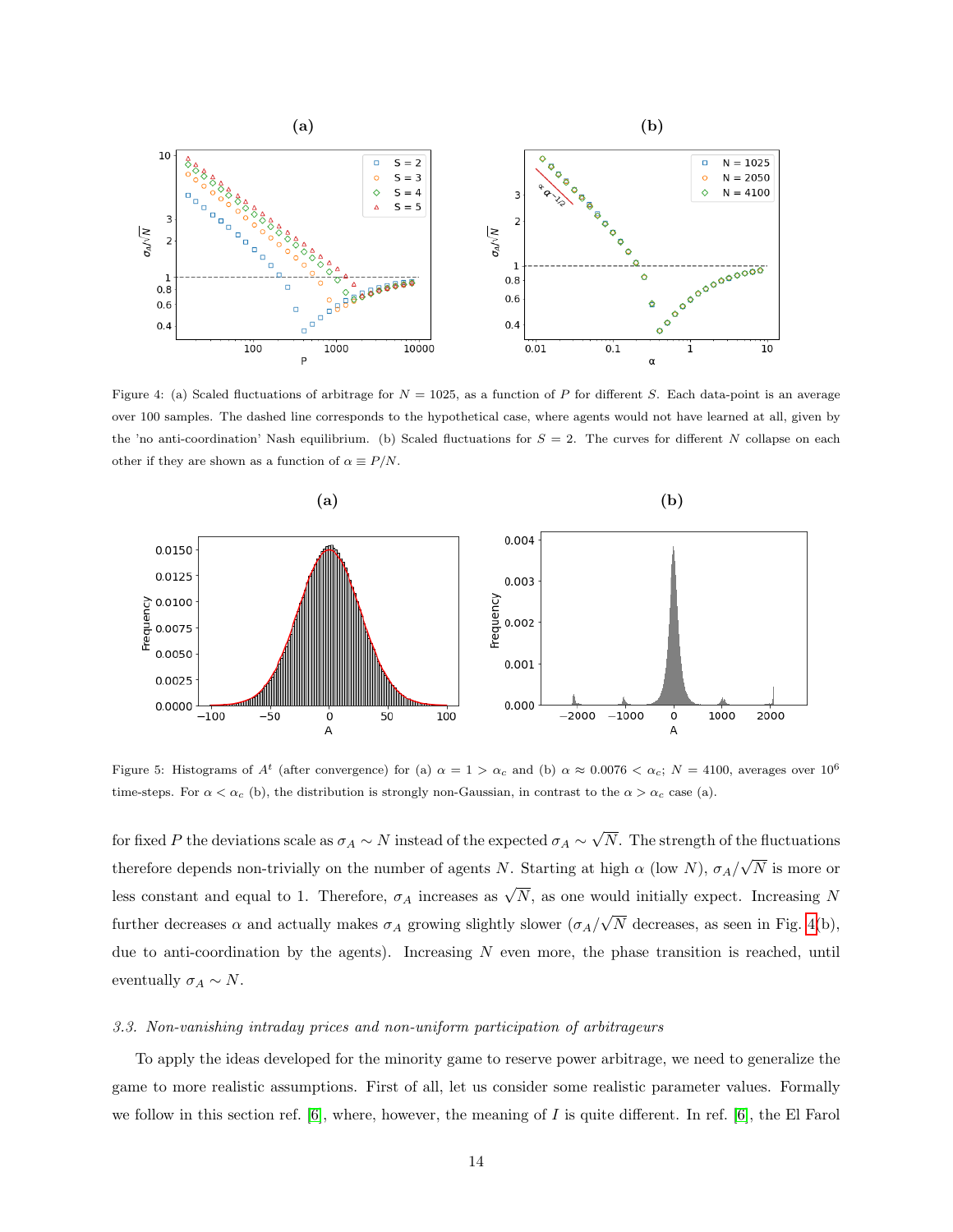

<span id="page-13-1"></span>Figure 4: (a) Scaled fluctuations of arbitrage for  $N = 1025$ , as a function of P for different S. Each data-point is an average over 100 samples. The dashed line corresponds to the hypothetical case, where agents would not have learned at all, given by the 'no anti-coordination' Nash equilibrium. (b) Scaled fluctuations for  $S = 2$ . The curves for different N collapse on each other if they are shown as a function of  $\alpha \equiv P/N$ .



<span id="page-13-2"></span>Figure 5: Histograms of  $A^t$  (after convergence) for (a)  $\alpha = 1 > \alpha_c$  and (b)  $\alpha \approx 0.0076 < \alpha_c$ ;  $N = 4100$ , averages over  $10^6$ time-steps. For  $\alpha < \alpha_c$  (b), the distribution is strongly non-Gaussian, in contrast to the  $\alpha > \alpha_c$  case (a).

for fixed  $P$  the deviations scale as  $\sigma_A \sim N$  instead of the expected  $\sigma_A \sim$ √ N. The strength of the fluctuations therefore depends non-trivially on the number of agents N. Starting at high  $\alpha$  (low N),  $\sigma_A$ / √ N is more or less constant and equal to 1. Therefore,  $\sigma_A$  increases as  $\sqrt{N}$ , as one would initially expect. Increasing N further decreases  $\alpha$  and actually makes  $\sigma_A$  growing slightly slower  $(\sigma_A/$ √ N decreases, as seen in Fig.  $4(b)$ , due to anti-coordination by the agents). Increasing  $N$  even more, the phase transition is reached, until eventually  $\sigma_A \sim N$ .

#### <span id="page-13-0"></span>3.3. Non-vanishing intraday prices and non-uniform participation of arbitrageurs

To apply the ideas developed for the minority game to reserve power arbitrage, we need to generalize the game to more realistic assumptions. First of all, let us consider some realistic parameter values. Formally we follow in this section ref.  $[6]$ , where, however, the meaning of  $I$  is quite different. In ref.  $[6]$ , the El Farol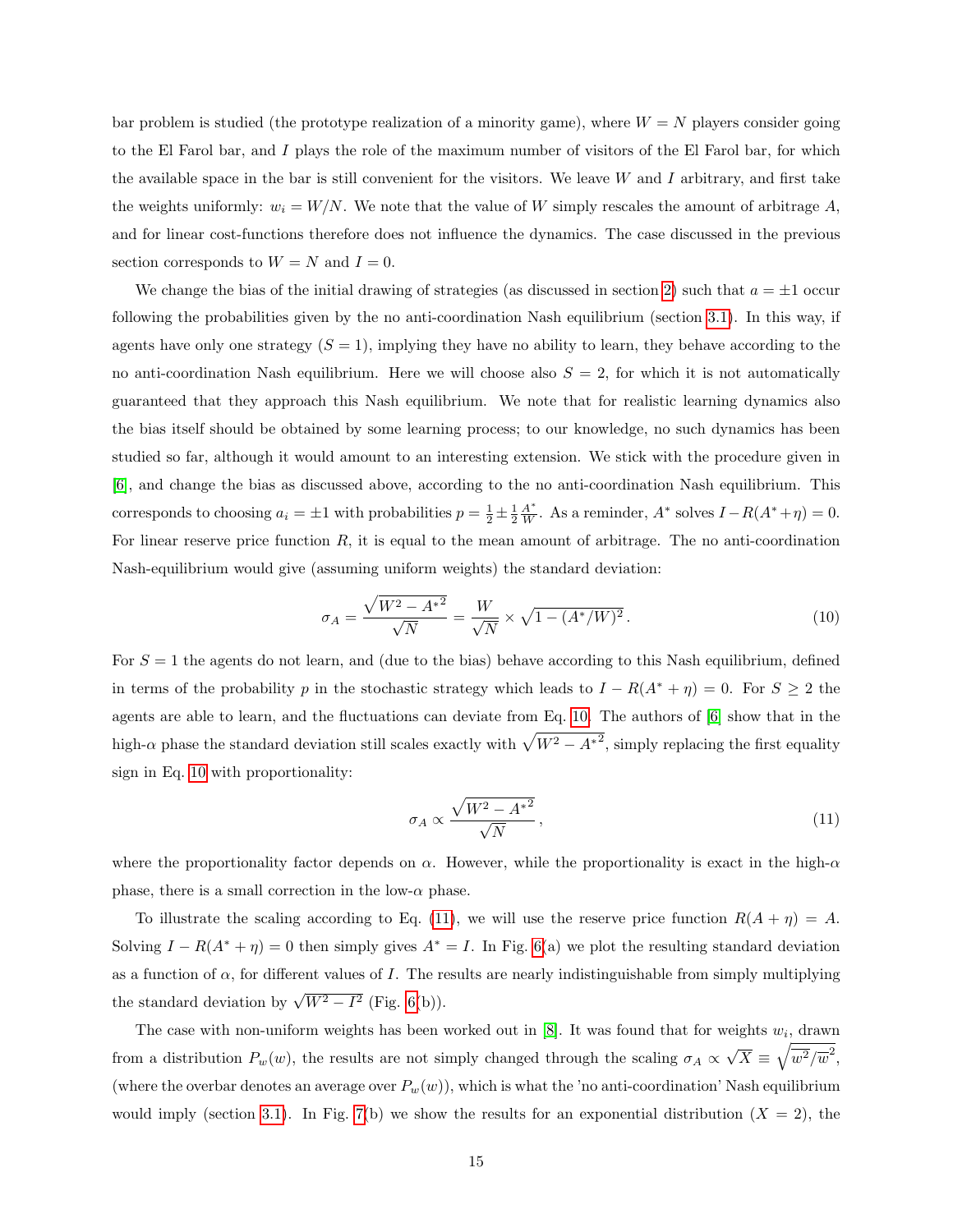bar problem is studied (the prototype realization of a minority game), where  $W = N$  players consider going to the El Farol bar, and I plays the role of the maximum number of visitors of the El Farol bar, for which the available space in the bar is still convenient for the visitors. We leave  $W$  and  $I$  arbitrary, and first take the weights uniformly:  $w_i = W/N$ . We note that the value of W simply rescales the amount of arbitrage A, and for linear cost-functions therefore does not influence the dynamics. The case discussed in the previous section corresponds to  $W = N$  and  $I = 0$ .

We change the bias of the initial drawing of strategies (as discussed in section [2\)](#page-4-0) such that  $a = \pm 1$  occur following the probabilities given by the no anti-coordination Nash equilibrium (section [3.1\)](#page-8-1). In this way, if agents have only one strategy  $(S = 1)$ , implying they have no ability to learn, they behave according to the no anti-coordination Nash equilibrium. Here we will choose also  $S = 2$ , for which it is not automatically guaranteed that they approach this Nash equilibrium. We note that for realistic learning dynamics also the bias itself should be obtained by some learning process; to our knowledge, no such dynamics has been studied so far, although it would amount to an interesting extension. We stick with the procedure given in [\[6\]](#page-29-2), and change the bias as discussed above, according to the no anti-coordination Nash equilibrium. This corresponds to choosing  $a_i = \pm 1$  with probabilities  $p = \frac{1}{2} \pm \frac{1}{2} \frac{A^*}{W}$ . As a reminder,  $A^*$  solves  $I - R(A^* + \eta) = 0$ . For linear reserve price function  $R$ , it is equal to the mean amount of arbitrage. The no anti-coordination Nash-equilibrium would give (assuming uniform weights) the standard deviation:

$$
\sigma_A = \frac{\sqrt{W^2 - A^{*2}}}{\sqrt{N}} = \frac{W}{\sqrt{N}} \times \sqrt{1 - (A^*/W)^2} \,. \tag{10}
$$

For  $S = 1$  the agents do not learn, and (due to the bias) behave according to this Nash equilibrium, defined in terms of the probability p in the stochastic strategy which leads to  $I - R(A^* + \eta) = 0$ . For  $S \ge 2$  the agents are able to learn, and the fluctuations can deviate from Eq. [10.](#page-14-0) The authors of [\[6\]](#page-29-2) show that in the high- $\alpha$  phase the standard deviation still scales exactly with  $\sqrt{W^2 - A^{*2}}$ , simply replacing the first equality sign in Eq. [10](#page-14-0) with proportionality:

<span id="page-14-1"></span><span id="page-14-0"></span>
$$
\sigma_A \propto \frac{\sqrt{W^2 - A^{*2}}}{\sqrt{N}},\tag{11}
$$

where the proportionality factor depends on  $\alpha$ . However, while the proportionality is exact in the high- $\alpha$ phase, there is a small correction in the low- $\alpha$  phase.

To illustrate the scaling according to Eq. [\(11\)](#page-14-1), we will use the reserve price function  $R(A + \eta) = A$ . Solving  $I - R(A^* + \eta) = 0$  then simply gives  $A^* = I$ . In Fig. [6\(](#page-15-1)a) we plot the resulting standard deviation as a function of  $\alpha$ , for different values of I. The results are nearly indistinguishable from simply multiplying the standard deviation by  $\sqrt{W^2 - I^2}$  (Fig. [6\(](#page-15-1)b)).

The case with non-uniform weights has been worked out in  $[8]$ . It was found that for weights  $w_i$ , drawn from a distribution  $P_w(w)$ , the results are not simply changed through the scaling  $\sigma_A \propto$ √  $\overline{X} \equiv \sqrt{\overline{w^2}/\overline{w}^2},$ (where the overbar denotes an average over  $P_w(w)$ ), which is what the 'no anti-coordination' Nash equilibrium would imply (section [3.1\)](#page-8-1). In Fig. [7\(](#page-16-0)b) we show the results for an exponential distribution  $(X = 2)$ , the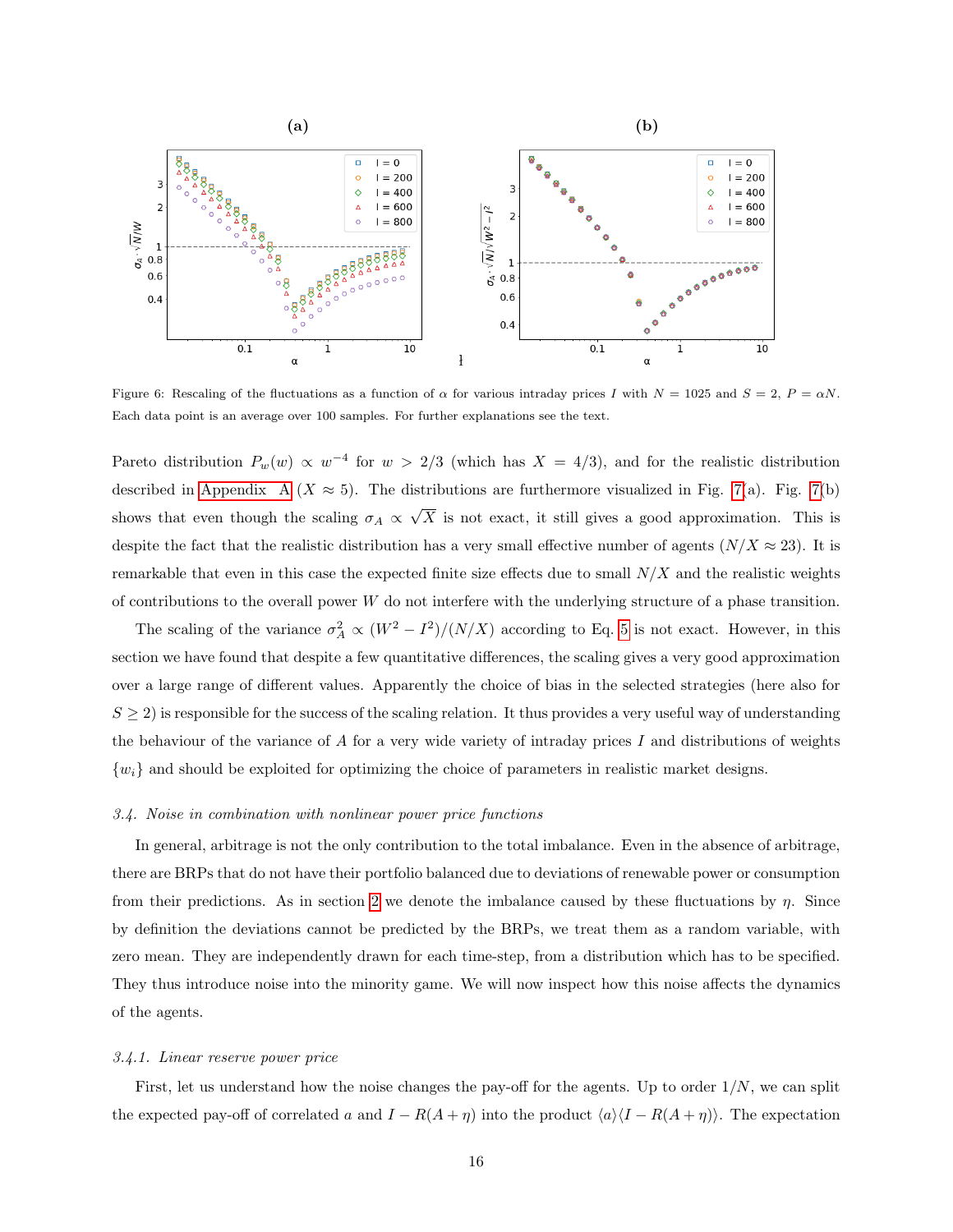

<span id="page-15-1"></span>Figure 6: Rescaling of the fluctuations as a function of  $\alpha$  for various intraday prices I with  $N = 1025$  and  $S = 2$ ,  $P = \alpha N$ . Each data point is an average over 100 samples. For further explanations see the text.

Pareto distribution  $P_w(w) \propto w^{-4}$  for  $w > 2/3$  (which has  $X = 4/3$ ), and for the realistic distribution described in [Appendix A](#page-26-0) ( $X \approx 5$ ). The distributions are furthermore visualized in Fig. [7\(](#page-16-0)a). Fig. 7(b) shows that even though the scaling  $\sigma_A \propto$ √  $X$  is not exact, it still gives a good approximation. This is despite the fact that the realistic distribution has a very small effective number of agents  $(N/X \approx 23)$ . It is remarkable that even in this case the expected finite size effects due to small  $N/X$  and the realistic weights of contributions to the overall power W do not interfere with the underlying structure of a phase transition.

The scaling of the variance  $\sigma_A^2 \propto (W^2 - I^2)/(N/X)$  according to Eq. [5](#page-9-1) is not exact. However, in this section we have found that despite a few quantitative differences, the scaling gives a very good approximation over a large range of different values. Apparently the choice of bias in the selected strategies (here also for  $S \geq 2$ ) is responsible for the success of the scaling relation. It thus provides a very useful way of understanding the behaviour of the variance of A for a very wide variety of intraday prices I and distributions of weights  $\{w_i\}$  and should be exploited for optimizing the choice of parameters in realistic market designs.

### <span id="page-15-0"></span>3.4. Noise in combination with nonlinear power price functions

In general, arbitrage is not the only contribution to the total imbalance. Even in the absence of arbitrage, there are BRPs that do not have their portfolio balanced due to deviations of renewable power or consumption from their predictions. As in section [2](#page-4-0) we denote the imbalance caused by these fluctuations by  $\eta$ . Since by definition the deviations cannot be predicted by the BRPs, we treat them as a random variable, with zero mean. They are independently drawn for each time-step, from a distribution which has to be specified. They thus introduce noise into the minority game. We will now inspect how this noise affects the dynamics of the agents.

#### 3.4.1. Linear reserve power price

First, let us understand how the noise changes the pay-off for the agents. Up to order  $1/N$ , we can split the expected pay-off of correlated a and  $I - R(A + \eta)$  into the product  $\langle a \rangle \langle I - R(A + \eta) \rangle$ . The expectation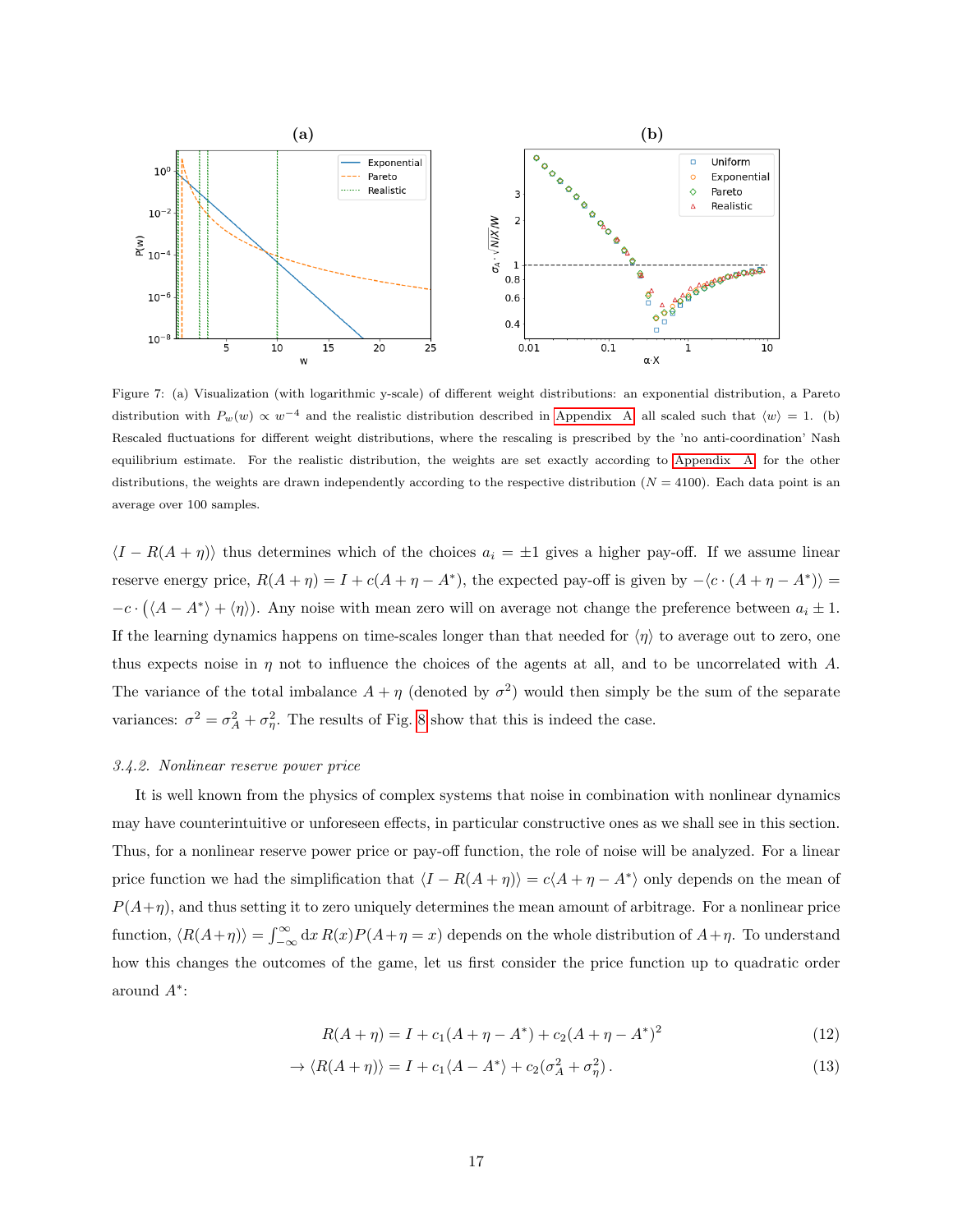

<span id="page-16-0"></span>Figure 7: (a) Visualization (with logarithmic y-scale) of different weight distributions: an exponential distribution, a Pareto distribution with  $P_w(w) \propto w^{-4}$  and the realistic distribution described in [Appendix A,](#page-26-0) all scaled such that  $\langle w \rangle = 1$ . (b) Rescaled fluctuations for different weight distributions, where the rescaling is prescribed by the 'no anti-coordination' Nash equilibrium estimate. For the realistic distribution, the weights are set exactly according to [Appendix A;](#page-26-0) for the other distributions, the weights are drawn independently according to the respective distribution  $(N = 4100)$ . Each data point is an average over 100 samples.

 $\langle I - R(A + \eta) \rangle$  thus determines which of the choices  $a_i = \pm 1$  gives a higher pay-off. If we assume linear reserve energy price,  $R(A + \eta) = I + c(A + \eta - A^*)$ , the expected pay-off is given by  $-\langle c \cdot (A + \eta - A^*) \rangle =$  $-c \cdot (\langle A - A^* \rangle + \langle \eta \rangle)$ . Any noise with mean zero will on average not change the preference between  $a_i \pm 1$ . If the learning dynamics happens on time-scales longer than that needed for  $\langle \eta \rangle$  to average out to zero, one thus expects noise in  $\eta$  not to influence the choices of the agents at all, and to be uncorrelated with A. The variance of the total imbalance  $A + \eta$  (denoted by  $\sigma^2$ ) would then simply be the sum of the separate variances:  $\sigma^2 = \sigma_A^2 + \sigma_{\eta}^2$ . The results of Fig. [8](#page-17-0) show that this is indeed the case.

#### 3.4.2. Nonlinear reserve power price

It is well known from the physics of complex systems that noise in combination with nonlinear dynamics may have counterintuitive or unforeseen effects, in particular constructive ones as we shall see in this section. Thus, for a nonlinear reserve power price or pay-off function, the role of noise will be analyzed. For a linear price function we had the simplification that  $\langle I - R(A + \eta) \rangle = c\langle A + \eta - A^* \rangle$  only depends on the mean of  $P(A+\eta)$ , and thus setting it to zero uniquely determines the mean amount of arbitrage. For a nonlinear price function,  $\langle R(A+\eta) \rangle = \int_{-\infty}^{\infty} dx R(x)P(A+\eta = x)$  depends on the whole distribution of  $A+\eta$ . To understand how this changes the outcomes of the game, let us first consider the price function up to quadratic order around A<sup>∗</sup> :

$$
R(A + \eta) = I + c_1(A + \eta - A^*) + c_2(A + \eta - A^*)^2
$$
\n(12)

$$
\rightarrow \langle R(A+\eta) \rangle = I + c_1 \langle A - A^* \rangle + c_2 (\sigma_A^2 + \sigma_\eta^2). \tag{13}
$$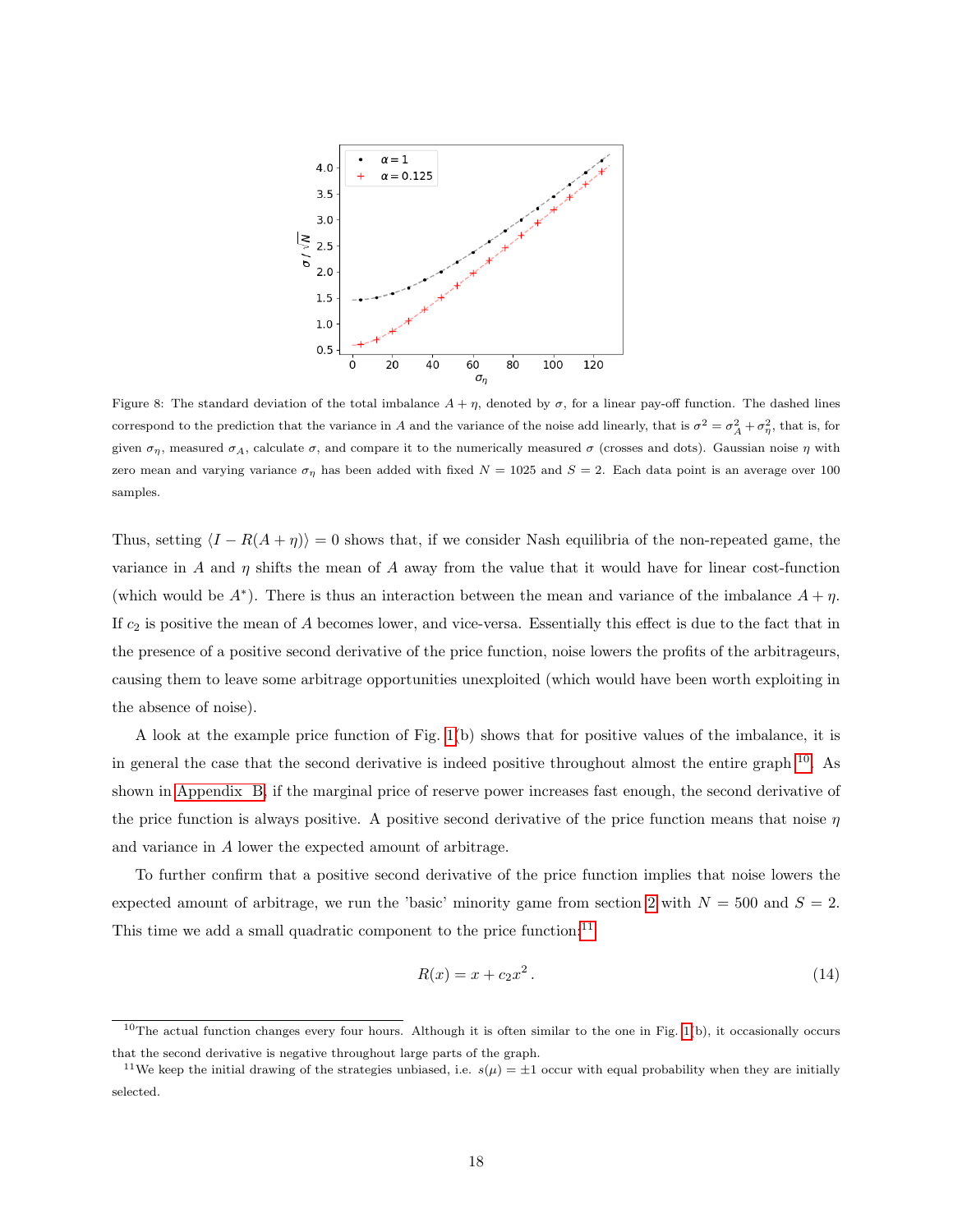

<span id="page-17-0"></span>Figure 8: The standard deviation of the total imbalance  $A + \eta$ , denoted by  $\sigma$ , for a linear pay-off function. The dashed lines correspond to the prediction that the variance in A and the variance of the noise add linearly, that is  $\sigma^2 = \sigma_A^2 + \sigma_\eta^2$ , that is, for given  $\sigma_{\eta}$ , measured  $\sigma_A$ , calculate  $\sigma$ , and compare it to the numerically measured  $\sigma$  (crosses and dots). Gaussian noise  $\eta$  with zero mean and varying variance  $\sigma_{\eta}$  has been added with fixed  $N = 1025$  and  $S = 2$ . Each data point is an average over 100 samples.

Thus, setting  $\langle I - R(A + \eta) \rangle = 0$  shows that, if we consider Nash equilibria of the non-repeated game, the variance in A and  $\eta$  shifts the mean of A away from the value that it would have for linear cost-function (which would be  $A^*$ ). There is thus an interaction between the mean and variance of the imbalance  $A + \eta$ . If  $c_2$  is positive the mean of A becomes lower, and vice-versa. Essentially this effect is due to the fact that in the presence of a positive second derivative of the price function, noise lowers the profits of the arbitrageurs, causing them to leave some arbitrage opportunities unexploited (which would have been worth exploiting in the absence of noise).

A look at the example price function of Fig. [1\(](#page-6-0)b) shows that for positive values of the imbalance, it is in general the case that the second derivative is indeed positive throughout almost the entire graph [10](#page-17-1). As shown in [Appendix B,](#page-27-0) if the marginal price of reserve power increases fast enough, the second derivative of the price function is always positive. A positive second derivative of the price function means that noise  $\eta$ and variance in A lower the expected amount of arbitrage.

To further confirm that a positive second derivative of the price function implies that noise lowers the expected amount of arbitrage, we run the 'basic' minority game from section [2](#page-4-0) with  $N = 500$  and  $S = 2$ . This time we add a small quadratic component to the price function: $^{11}$  $^{11}$  $^{11}$ 

<span id="page-17-3"></span>
$$
R(x) = x + c_2 x^2.
$$
 (14)

<span id="page-17-1"></span> $10$ The actual function changes every four hours. Although it is often similar to the one in Fig. [1\(](#page-6-0)b), it occasionally occurs that the second derivative is negative throughout large parts of the graph.

<span id="page-17-2"></span><sup>&</sup>lt;sup>11</sup>We keep the initial drawing of the strategies unbiased, i.e.  $s(\mu) = \pm 1$  occur with equal probability when they are initially selected.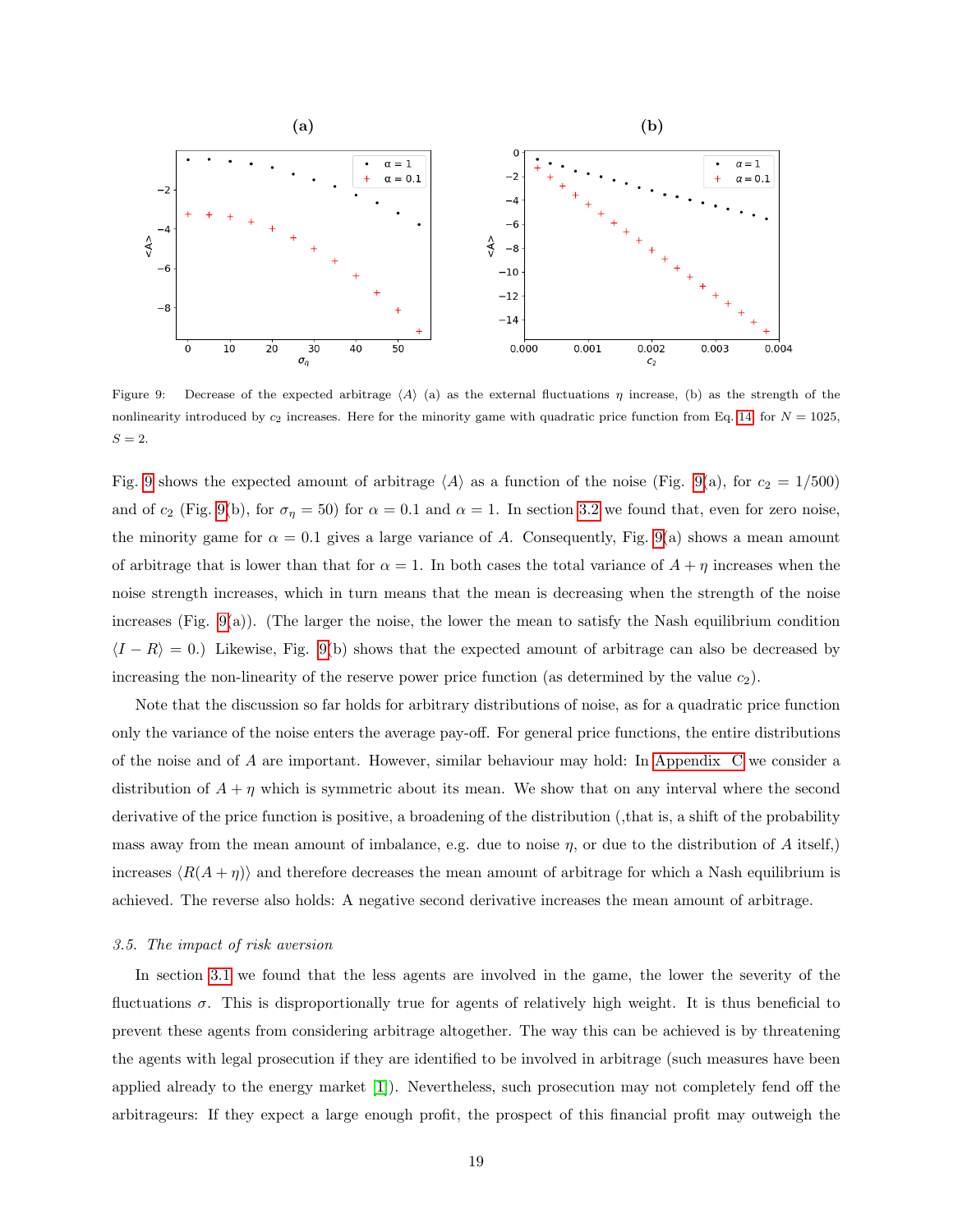

<span id="page-18-1"></span>Figure 9: Decrease of the expected arbitrage  $\langle A \rangle$  (a) as the external fluctuations  $\eta$  increase, (b) as the strength of the nonlinearity introduced by  $c_2$  increases. Here for the minority game with quadratic price function from Eq. [14,](#page-17-3) for  $N = 1025$ ,  $S=2.$ 

Fig. [9](#page-18-1) shows the expected amount of arbitrage  $\langle A \rangle$  as a function of the noise (Fig. [9\(](#page-18-1)a), for  $c_2 = 1/500$ ) and of  $c_2$  (Fig. [9\(](#page-18-1)b), for  $\sigma_\eta = 50$ ) for  $\alpha = 0.1$  and  $\alpha = 1$ . In section [3.2](#page-10-0) we found that, even for zero noise, the minority game for  $\alpha = 0.1$  gives a large variance of A. Consequently, Fig. [9\(](#page-18-1)a) shows a mean amount of arbitrage that is lower than that for  $\alpha = 1$ . In both cases the total variance of  $A + \eta$  increases when the noise strength increases, which in turn means that the mean is decreasing when the strength of the noise increases (Fig. [9\(](#page-18-1)a)). (The larger the noise, the lower the mean to satisfy the Nash equilibrium condition  $\langle I - R \rangle = 0$ .) Likewise, Fig. [9\(](#page-18-1)b) shows that the expected amount of arbitrage can also be decreased by increasing the non-linearity of the reserve power price function (as determined by the value  $c_2$ ).

Note that the discussion so far holds for arbitrary distributions of noise, as for a quadratic price function only the variance of the noise enters the average pay-off. For general price functions, the entire distributions of the noise and of A are important. However, similar behaviour may hold: In [Appendix C](#page-28-3) we consider a distribution of  $A + \eta$  which is symmetric about its mean. We show that on any interval where the second derivative of the price function is positive, a broadening of the distribution (,that is, a shift of the probability mass away from the mean amount of imbalance, e.g. due to noise  $\eta$ , or due to the distribution of A itself,) increases  $\langle R(A + \eta) \rangle$  and therefore decreases the mean amount of arbitrage for which a Nash equilibrium is achieved. The reverse also holds: A negative second derivative increases the mean amount of arbitrage.

#### <span id="page-18-0"></span>3.5. The impact of risk aversion

In section [3.1](#page-8-1) we found that the less agents are involved in the game, the lower the severity of the fluctuations  $\sigma$ . This is disproportionally true for agents of relatively high weight. It is thus beneficial to prevent these agents from considering arbitrage altogether. The way this can be achieved is by threatening the agents with legal prosecution if they are identified to be involved in arbitrage (such measures have been applied already to the energy market [\[1\]](#page-28-0)). Nevertheless, such prosecution may not completely fend off the arbitrageurs: If they expect a large enough profit, the prospect of this financial profit may outweigh the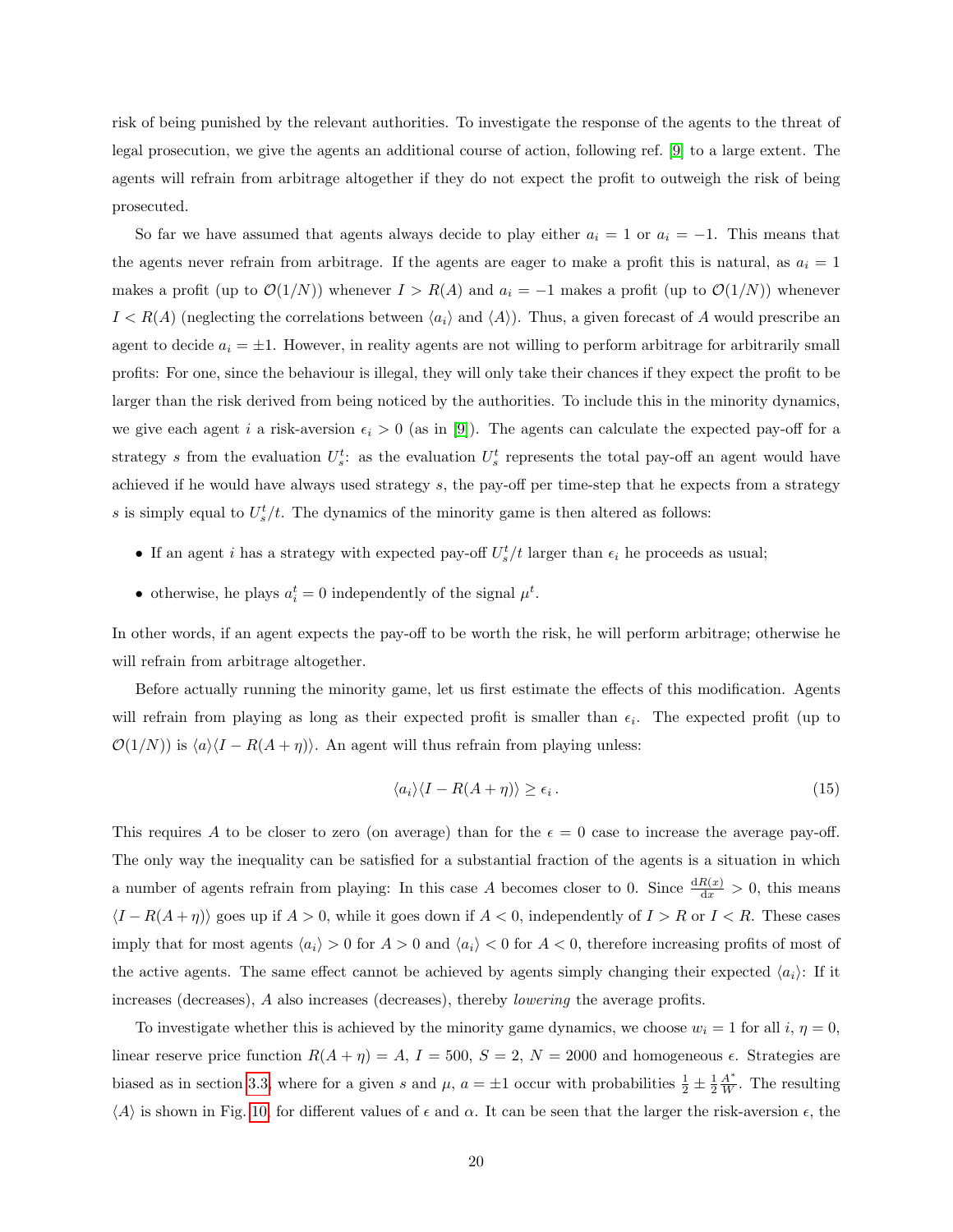risk of being punished by the relevant authorities. To investigate the response of the agents to the threat of legal prosecution, we give the agents an additional course of action, following ref. [\[9\]](#page-29-5) to a large extent. The agents will refrain from arbitrage altogether if they do not expect the profit to outweigh the risk of being prosecuted.

So far we have assumed that agents always decide to play either  $a_i = 1$  or  $a_i = -1$ . This means that the agents never refrain from arbitrage. If the agents are eager to make a profit this is natural, as  $a_i = 1$ makes a profit (up to  $\mathcal{O}(1/N)$ ) whenever  $I > R(A)$  and  $a_i = -1$  makes a profit (up to  $\mathcal{O}(1/N)$ ) whenever  $I < R(A)$  (neglecting the correlations between  $\langle a_i \rangle$  and  $\langle A \rangle$ ). Thus, a given forecast of A would prescribe an agent to decide  $a_i = \pm 1$ . However, in reality agents are not willing to perform arbitrage for arbitrarily small profits: For one, since the behaviour is illegal, they will only take their chances if they expect the profit to be larger than the risk derived from being noticed by the authorities. To include this in the minority dynamics, we give each agent i a risk-aversion  $\epsilon_i > 0$  (as in [\[9\]](#page-29-5)). The agents can calculate the expected pay-off for a strategy s from the evaluation  $U_s^t$ : as the evaluation  $U_s^t$  represents the total pay-off an agent would have achieved if he would have always used strategy  $s$ , the pay-off per time-step that he expects from a strategy s is simply equal to  $U_s^t/t$ . The dynamics of the minority game is then altered as follows:

- If an agent *i* has a strategy with expected pay-off  $U_s^t/t$  larger than  $\epsilon_i$  he proceeds as usual;
- otherwise, he plays  $a_i^t = 0$  independently of the signal  $\mu^t$ .

In other words, if an agent expects the pay-off to be worth the risk, he will perform arbitrage; otherwise he will refrain from arbitrage altogether.

Before actually running the minority game, let us first estimate the effects of this modification. Agents will refrain from playing as long as their expected profit is smaller than  $\epsilon_i$ . The expected profit (up to  $\mathcal{O}(1/N)$  is  $\langle a \rangle \langle I - R(A + \eta) \rangle$ . An agent will thus refrain from playing unless:

$$
\langle a_i \rangle \langle I - R(A + \eta) \rangle \ge \epsilon_i. \tag{15}
$$

This requires A to be closer to zero (on average) than for the  $\epsilon = 0$  case to increase the average pay-off. The only way the inequality can be satisfied for a substantial fraction of the agents is a situation in which a number of agents refrain from playing: In this case A becomes closer to 0. Since  $\frac{dR(x)}{dx} > 0$ , this means  $\langle I - R(A + \eta) \rangle$  goes up if  $A > 0$ , while it goes down if  $A < 0$ , independently of  $I > R$  or  $I < R$ . These cases imply that for most agents  $\langle a_i \rangle > 0$  for  $A > 0$  and  $\langle a_i \rangle < 0$  for  $A < 0$ , therefore increasing profits of most of the active agents. The same effect cannot be achieved by agents simply changing their expected  $\langle a_i \rangle$ : If it increases (decreases), A also increases (decreases), thereby lowering the average profits.

To investigate whether this is achieved by the minority game dynamics, we choose  $w_i = 1$  for all  $i, \eta = 0$ , linear reserve price function  $R(A + \eta) = A$ ,  $I = 500$ ,  $S = 2$ ,  $N = 2000$  and homogeneous  $\epsilon$ . Strategies are biased as in section [3.3,](#page-13-0) where for a given s and  $\mu$ ,  $a = \pm 1$  occur with probabilities  $\frac{1}{2} \pm \frac{1}{2} \frac{A^*}{W}$ . The resulting  $\langle A \rangle$  is shown in Fig. [10,](#page-20-0) for different values of  $\epsilon$  and  $\alpha$ . It can be seen that the larger the risk-aversion  $\epsilon$ , the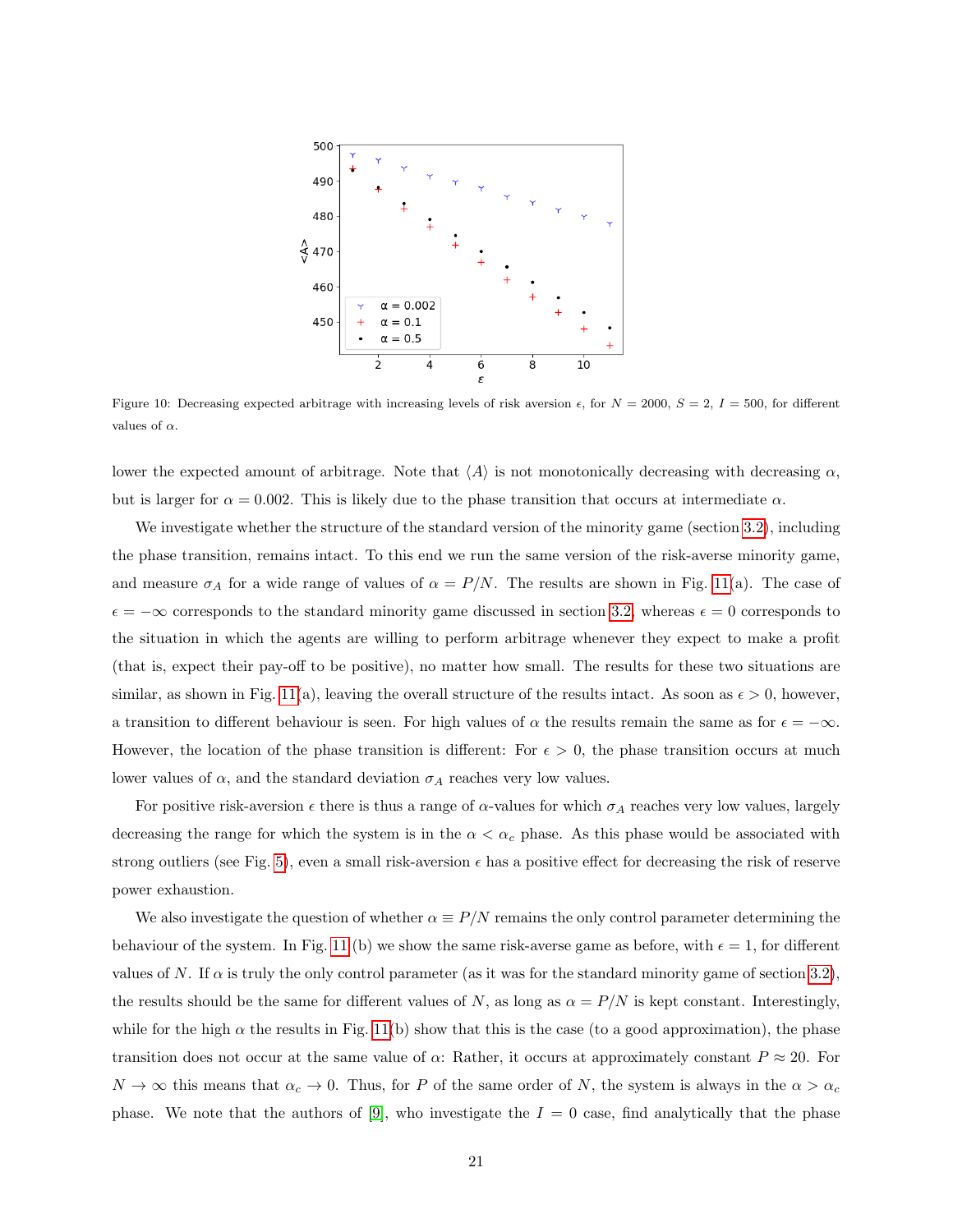

<span id="page-20-0"></span>Figure 10: Decreasing expected arbitrage with increasing levels of risk aversion  $\epsilon$ , for  $N = 2000$ ,  $S = 2$ ,  $I = 500$ , for different values of  $\alpha$ .

lower the expected amount of arbitrage. Note that  $\langle A \rangle$  is not monotonically decreasing with decreasing  $\alpha$ , but is larger for  $\alpha = 0.002$ . This is likely due to the phase transition that occurs at intermediate  $\alpha$ .

We investigate whether the structure of the standard version of the minority game (section [3.2\)](#page-10-0), including the phase transition, remains intact. To this end we run the same version of the risk-averse minority game, and measure  $\sigma_A$  for a wide range of values of  $\alpha = P/N$ . The results are shown in Fig. [11\(](#page-21-1)a). The case of  $\epsilon = -\infty$  corresponds to the standard minority game discussed in section [3.2,](#page-10-0) whereas  $\epsilon = 0$  corresponds to the situation in which the agents are willing to perform arbitrage whenever they expect to make a profit (that is, expect their pay-off to be positive), no matter how small. The results for these two situations are similar, as shown in Fig. [11\(](#page-21-1)a), leaving the overall structure of the results intact. As soon as  $\epsilon > 0$ , however, a transition to different behaviour is seen. For high values of  $\alpha$  the results remain the same as for  $\epsilon = -\infty$ . However, the location of the phase transition is different: For  $\epsilon > 0$ , the phase transition occurs at much lower values of  $\alpha$ , and the standard deviation  $\sigma_A$  reaches very low values.

For positive risk-aversion  $\epsilon$  there is thus a range of  $\alpha$ -values for which  $\sigma_A$  reaches very low values, largely decreasing the range for which the system is in the  $\alpha < \alpha_c$  phase. As this phase would be associated with strong outliers (see Fig. [5\)](#page-13-2), even a small risk-aversion  $\epsilon$  has a positive effect for decreasing the risk of reserve power exhaustion.

We also investigate the question of whether  $\alpha \equiv P/N$  remains the only control parameter determining the behaviour of the system. In Fig. [11](#page-21-1) (b) we show the same risk-averse game as before, with  $\epsilon = 1$ , for different values of N. If  $\alpha$  is truly the only control parameter (as it was for the standard minority game of section [3.2\)](#page-10-0), the results should be the same for different values of N, as long as  $\alpha = P/N$  is kept constant. Interestingly, while for the high  $\alpha$  the results in Fig. [11\(](#page-21-1)b) show that this is the case (to a good approximation), the phase transition does not occur at the same value of  $\alpha$ : Rather, it occurs at approximately constant  $P \approx 20$ . For  $N \to \infty$  this means that  $\alpha_c \to 0$ . Thus, for P of the same order of N, the system is always in the  $\alpha > \alpha_c$ phase. We note that the authors of [\[9\]](#page-29-5), who investigate the  $I = 0$  case, find analytically that the phase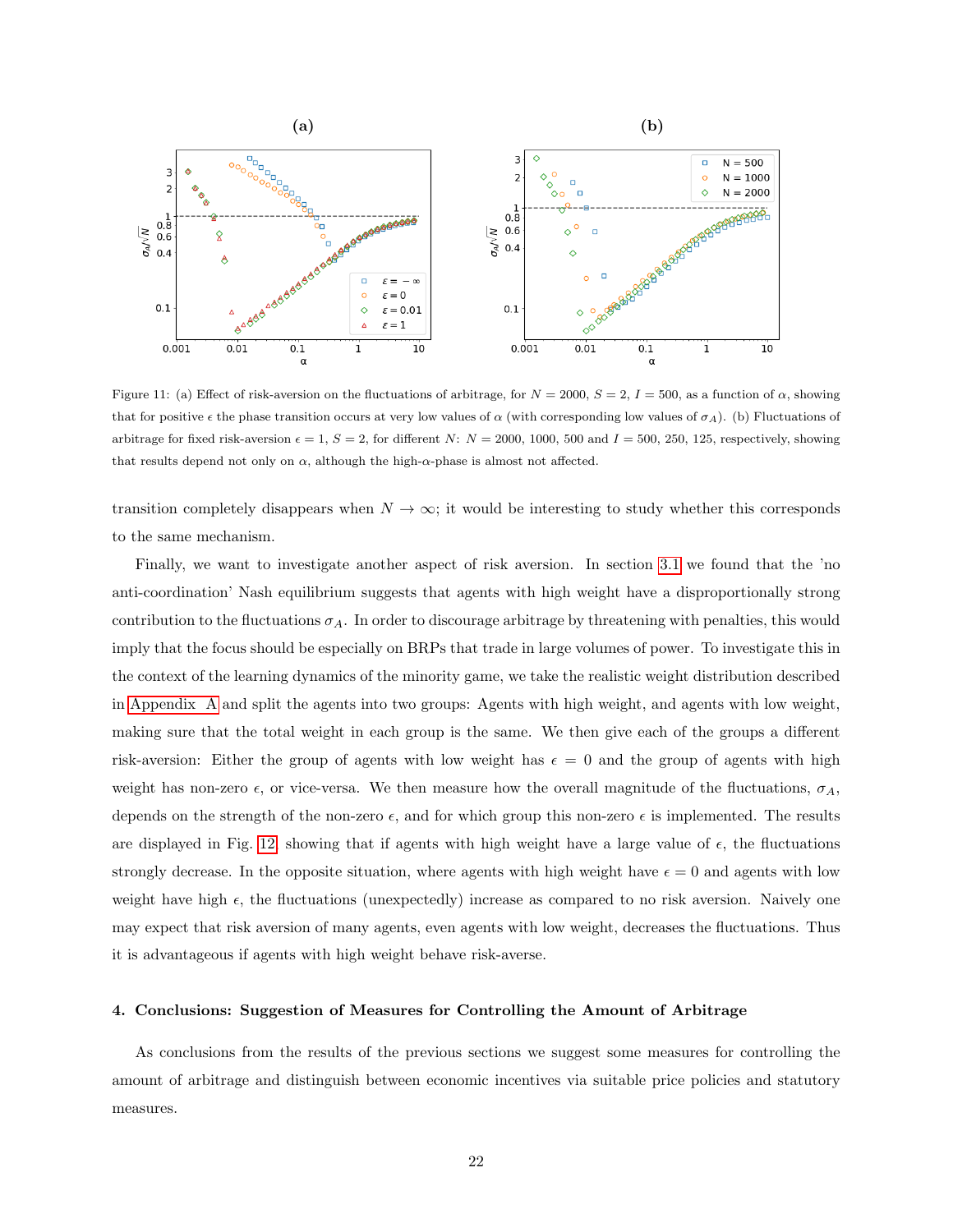

<span id="page-21-1"></span>Figure 11: (a) Effect of risk-aversion on the fluctuations of arbitrage, for  $N = 2000$ ,  $S = 2$ ,  $I = 500$ , as a function of  $\alpha$ , showing that for positive  $\epsilon$  the phase transition occurs at very low values of  $\alpha$  (with corresponding low values of  $\sigma_A$ ). (b) Fluctuations of arbitrage for fixed risk-aversion  $\epsilon = 1$ ,  $S = 2$ , for different N:  $N = 2000$ , 1000, 500 and  $I = 500$ , 250, 125, respectively, showing that results depend not only on  $\alpha$ , although the high- $\alpha$ -phase is almost not affected.

transition completely disappears when  $N \to \infty$ ; it would be interesting to study whether this corresponds to the same mechanism.

Finally, we want to investigate another aspect of risk aversion. In section [3.1](#page-8-1) we found that the 'no anti-coordination' Nash equilibrium suggests that agents with high weight have a disproportionally strong contribution to the fluctuations  $\sigma_A$ . In order to discourage arbitrage by threatening with penalties, this would imply that the focus should be especially on BRPs that trade in large volumes of power. To investigate this in the context of the learning dynamics of the minority game, we take the realistic weight distribution described in [Appendix A](#page-26-0) and split the agents into two groups: Agents with high weight, and agents with low weight, making sure that the total weight in each group is the same. We then give each of the groups a different risk-aversion: Either the group of agents with low weight has  $\epsilon = 0$  and the group of agents with high weight has non-zero  $\epsilon$ , or vice-versa. We then measure how the overall magnitude of the fluctuations,  $\sigma_A$ , depends on the strength of the non-zero  $\epsilon$ , and for which group this non-zero  $\epsilon$  is implemented. The results are displayed in Fig. [12,](#page-22-0) showing that if agents with high weight have a large value of  $\epsilon$ , the fluctuations strongly decrease. In the opposite situation, where agents with high weight have  $\epsilon = 0$  and agents with low weight have high  $\epsilon$ , the fluctuations (unexpectedly) increase as compared to no risk aversion. Naively one may expect that risk aversion of many agents, even agents with low weight, decreases the fluctuations. Thus it is advantageous if agents with high weight behave risk-averse.

### <span id="page-21-0"></span>4. Conclusions: Suggestion of Measures for Controlling the Amount of Arbitrage

As conclusions from the results of the previous sections we suggest some measures for controlling the amount of arbitrage and distinguish between economic incentives via suitable price policies and statutory measures.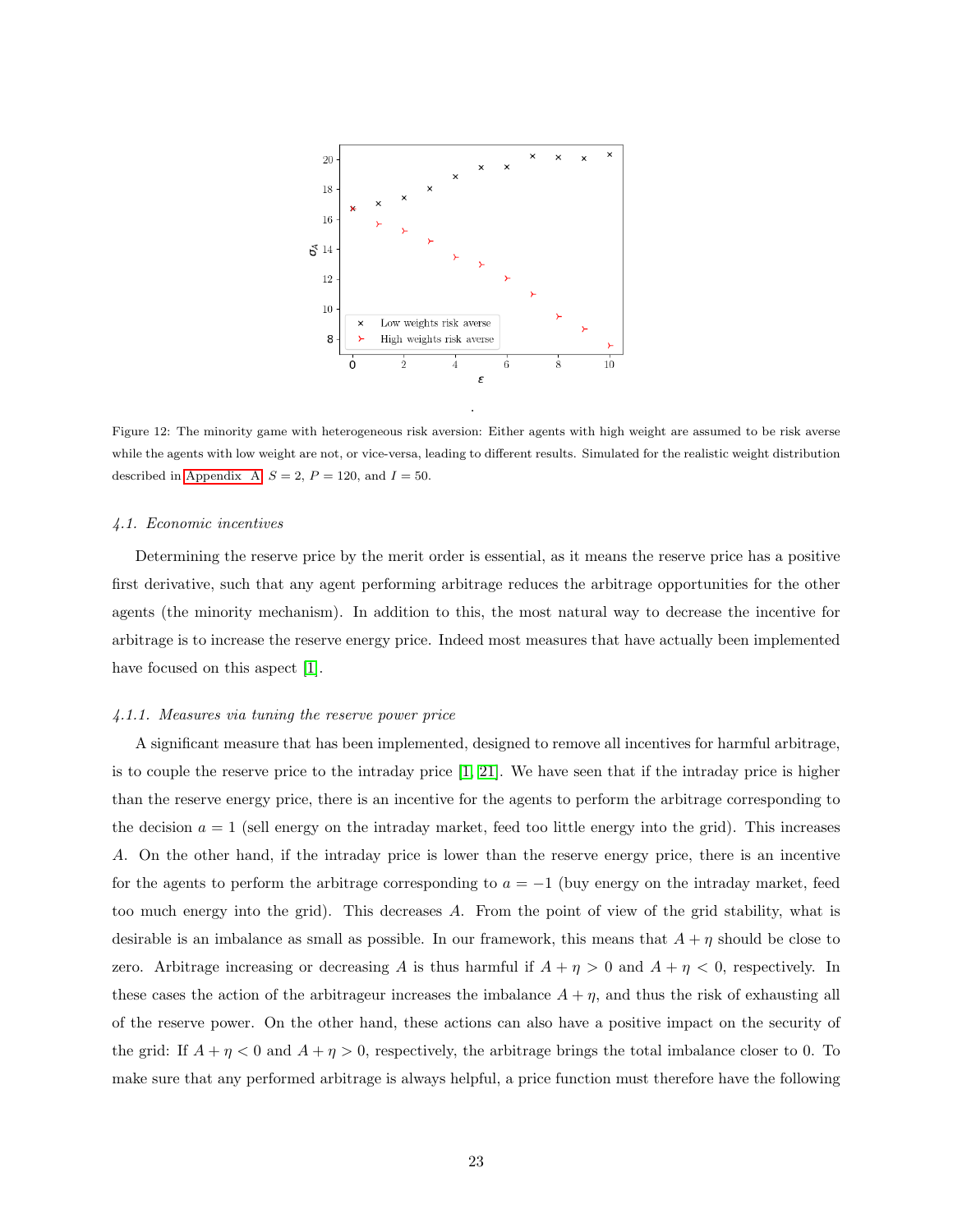

<span id="page-22-0"></span>Figure 12: The minority game with heterogeneous risk aversion: Either agents with high weight are assumed to be risk averse while the agents with low weight are not, or vice-versa, leading to different results. Simulated for the realistic weight distribution described in [Appendix A,](#page-26-0)  $S = 2$ ,  $P = 120$ , and  $I = 50$ .

#### 4.1. Economic incentives

Determining the reserve price by the merit order is essential, as it means the reserve price has a positive first derivative, such that any agent performing arbitrage reduces the arbitrage opportunities for the other agents (the minority mechanism). In addition to this, the most natural way to decrease the incentive for arbitrage is to increase the reserve energy price. Indeed most measures that have actually been implemented have focused on this aspect [\[1\]](#page-28-0).

#### 4.1.1. Measures via tuning the reserve power price

A significant measure that has been implemented, designed to remove all incentives for harmful arbitrage, is to couple the reserve price to the intraday price [\[1,](#page-28-0) [21\]](#page-30-6). We have seen that if the intraday price is higher than the reserve energy price, there is an incentive for the agents to perform the arbitrage corresponding to the decision  $a = 1$  (sell energy on the intraday market, feed too little energy into the grid). This increases A. On the other hand, if the intraday price is lower than the reserve energy price, there is an incentive for the agents to perform the arbitrage corresponding to  $a = -1$  (buy energy on the intraday market, feed too much energy into the grid). This decreases A. From the point of view of the grid stability, what is desirable is an imbalance as small as possible. In our framework, this means that  $A + \eta$  should be close to zero. Arbitrage increasing or decreasing A is thus harmful if  $A + \eta > 0$  and  $A + \eta < 0$ , respectively. In these cases the action of the arbitrageur increases the imbalance  $A + \eta$ , and thus the risk of exhausting all of the reserve power. On the other hand, these actions can also have a positive impact on the security of the grid: If  $A + \eta < 0$  and  $A + \eta > 0$ , respectively, the arbitrage brings the total imbalance closer to 0. To make sure that any performed arbitrage is always helpful, a price function must therefore have the following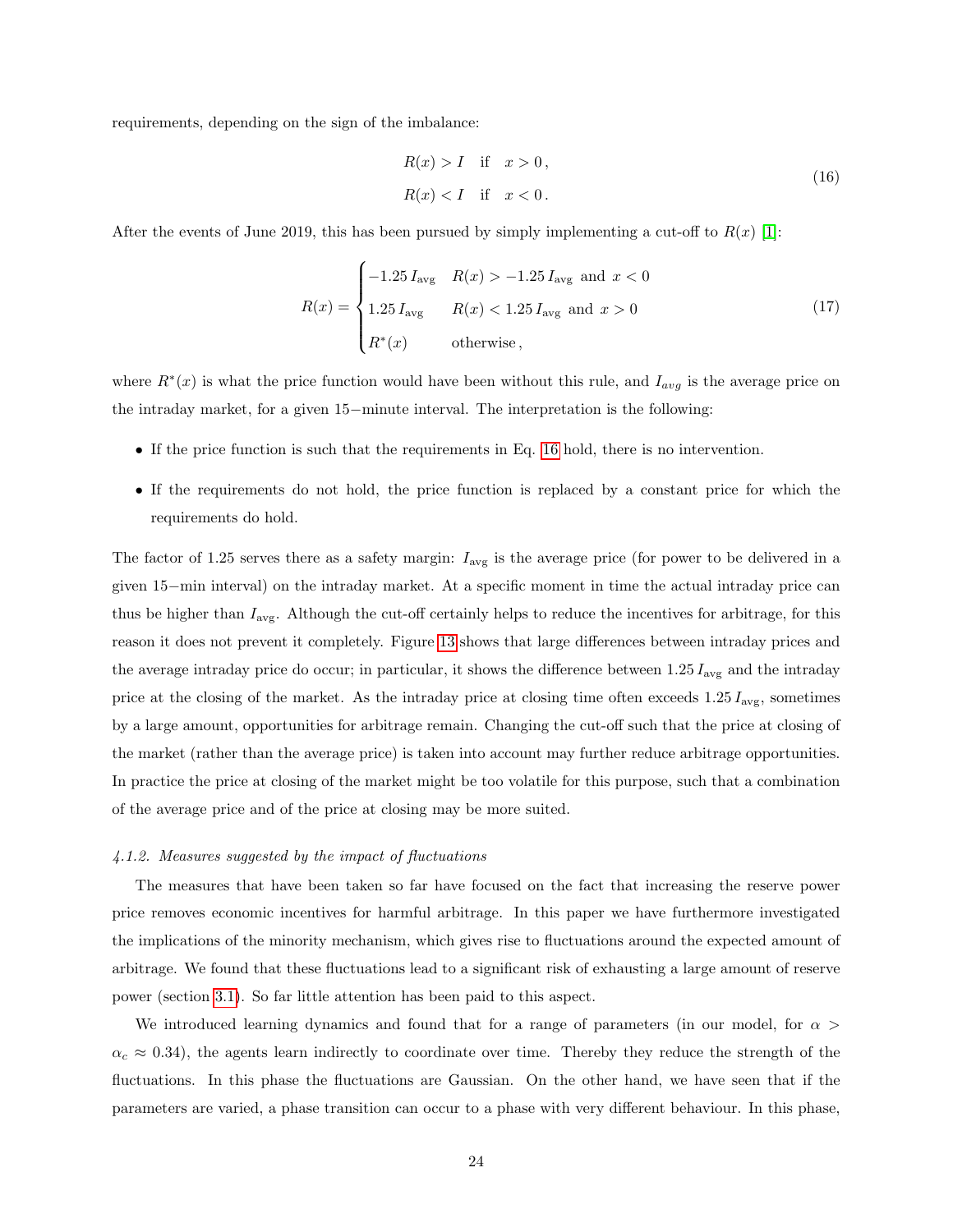requirements, depending on the sign of the imbalance:

<span id="page-23-0"></span>
$$
R(x) > I \quad \text{if} \quad x > 0,
$$
\n
$$
R(x) < I \quad \text{if} \quad x < 0.
$$
\n
$$
(16)
$$

After the events of June 2019, this has been pursued by simply implementing a cut-off to  $R(x)$  [\[1\]](#page-28-0):

$$
R(x) = \begin{cases} -1.25 I_{\text{avg}} & R(x) > -1.25 I_{\text{avg}} \text{ and } x < 0\\ 1.25 I_{\text{avg}} & R(x) < 1.25 I_{\text{avg}} \text{ and } x > 0\\ R^*(x) & \text{otherwise} \end{cases}
$$
(17)

where  $R^*(x)$  is what the price function would have been without this rule, and  $I_{avg}$  is the average price on the intraday market, for a given 15−minute interval. The interpretation is the following:

- If the price function is such that the requirements in Eq. [16](#page-23-0) hold, there is no intervention.
- If the requirements do not hold, the price function is replaced by a constant price for which the requirements do hold.

The factor of 1.25 serves there as a safety margin:  $I_{\text{avg}}$  is the average price (for power to be delivered in a given 15−min interval) on the intraday market. At a specific moment in time the actual intraday price can thus be higher than  $I_{\text{avg}}$ . Although the cut-off certainly helps to reduce the incentives for arbitrage, for this reason it does not prevent it completely. Figure [13](#page-24-0) shows that large differences between intraday prices and the average intraday price do occur; in particular, it shows the difference between  $1.25 I_{\text{avg}}$  and the intraday price at the closing of the market. As the intraday price at closing time often exceeds  $1.25 I_{\text{avg}}$ , sometimes by a large amount, opportunities for arbitrage remain. Changing the cut-off such that the price at closing of the market (rather than the average price) is taken into account may further reduce arbitrage opportunities. In practice the price at closing of the market might be too volatile for this purpose, such that a combination of the average price and of the price at closing may be more suited.

#### 4.1.2. Measures suggested by the impact of fluctuations

The measures that have been taken so far have focused on the fact that increasing the reserve power price removes economic incentives for harmful arbitrage. In this paper we have furthermore investigated the implications of the minority mechanism, which gives rise to fluctuations around the expected amount of arbitrage. We found that these fluctuations lead to a significant risk of exhausting a large amount of reserve power (section [3.1\)](#page-8-1). So far little attention has been paid to this aspect.

We introduced learning dynamics and found that for a range of parameters (in our model, for  $\alpha$ )  $\alpha_c \approx 0.34$ ), the agents learn indirectly to coordinate over time. Thereby they reduce the strength of the fluctuations. In this phase the fluctuations are Gaussian. On the other hand, we have seen that if the parameters are varied, a phase transition can occur to a phase with very different behaviour. In this phase,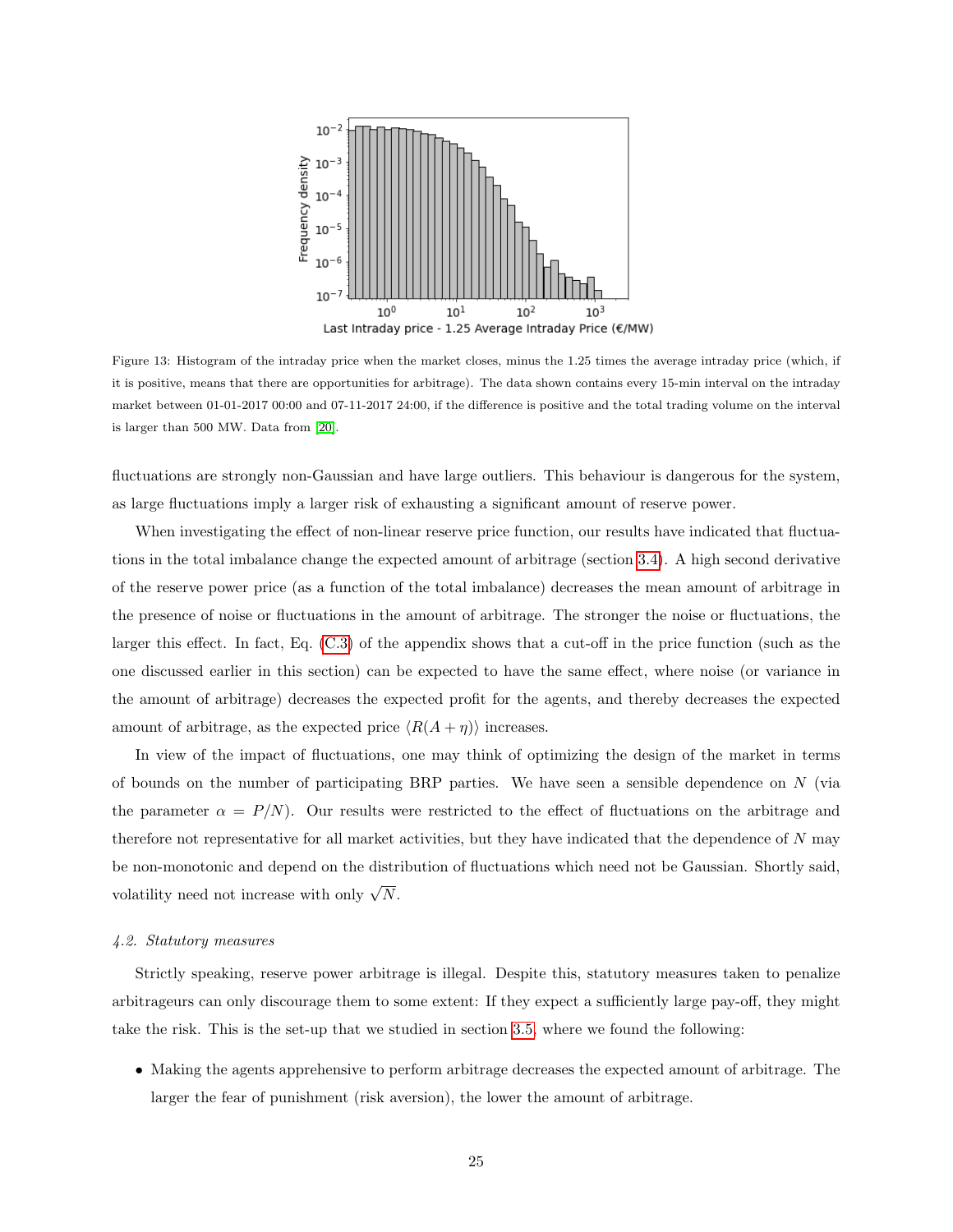

<span id="page-24-0"></span>Figure 13: Histogram of the intraday price when the market closes, minus the 1.25 times the average intraday price (which, if it is positive, means that there are opportunities for arbitrage). The data shown contains every 15-min interval on the intraday market between 01-01-2017 00:00 and 07-11-2017 24:00, if the difference is positive and the total trading volume on the interval is larger than 500 MW. Data from [\[20\]](#page-30-5).

fluctuations are strongly non-Gaussian and have large outliers. This behaviour is dangerous for the system, as large fluctuations imply a larger risk of exhausting a significant amount of reserve power.

When investigating the effect of non-linear reserve price function, our results have indicated that fluctuations in the total imbalance change the expected amount of arbitrage (section [3.4\)](#page-15-0). A high second derivative of the reserve power price (as a function of the total imbalance) decreases the mean amount of arbitrage in the presence of noise or fluctuations in the amount of arbitrage. The stronger the noise or fluctuations, the larger this effect. In fact, Eq. [\(C.3\)](#page-28-4) of the appendix shows that a cut-off in the price function (such as the one discussed earlier in this section) can be expected to have the same effect, where noise (or variance in the amount of arbitrage) decreases the expected profit for the agents, and thereby decreases the expected amount of arbitrage, as the expected price  $\langle R(A + \eta) \rangle$  increases.

In view of the impact of fluctuations, one may think of optimizing the design of the market in terms of bounds on the number of participating BRP parties. We have seen a sensible dependence on  $N$  (via the parameter  $\alpha = P/N$ ). Our results were restricted to the effect of fluctuations on the arbitrage and therefore not representative for all market activities, but they have indicated that the dependence of  $N$  may be non-monotonic and depend on the distribution of fluctuations which need not be Gaussian. Shortly said, volatility need not increase with only  $\sqrt{N}$ .

#### 4.2. Statutory measures

Strictly speaking, reserve power arbitrage is illegal. Despite this, statutory measures taken to penalize arbitrageurs can only discourage them to some extent: If they expect a sufficiently large pay-off, they might take the risk. This is the set-up that we studied in section [3.5,](#page-18-0) where we found the following:

• Making the agents apprehensive to perform arbitrage decreases the expected amount of arbitrage. The larger the fear of punishment (risk aversion), the lower the amount of arbitrage.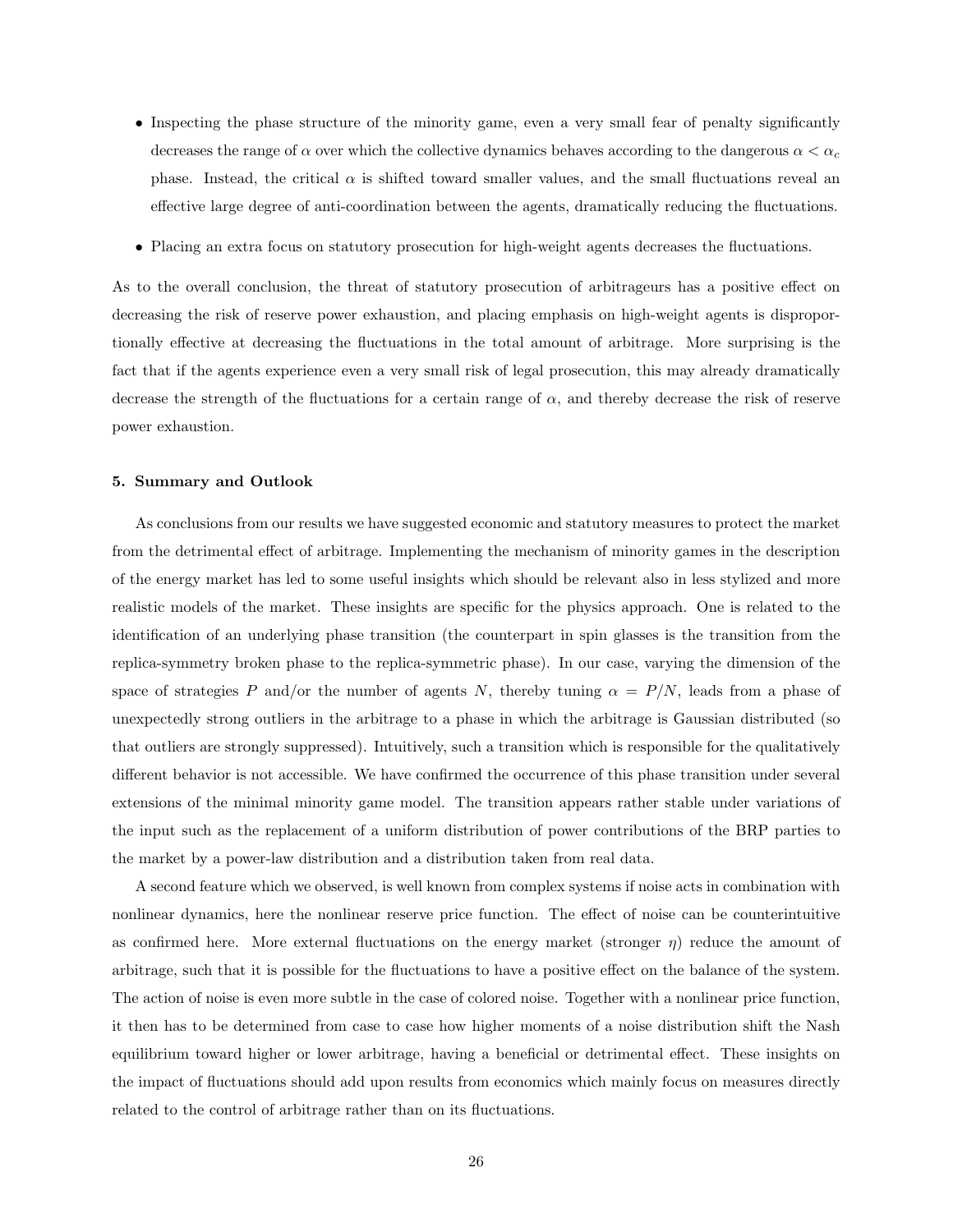- Inspecting the phase structure of the minority game, even a very small fear of penalty significantly decreases the range of  $\alpha$  over which the collective dynamics behaves according to the dangerous  $\alpha < \alpha_c$ phase. Instead, the critical  $\alpha$  is shifted toward smaller values, and the small fluctuations reveal an effective large degree of anti-coordination between the agents, dramatically reducing the fluctuations.
- Placing an extra focus on statutory prosecution for high-weight agents decreases the fluctuations.

As to the overall conclusion, the threat of statutory prosecution of arbitrageurs has a positive effect on decreasing the risk of reserve power exhaustion, and placing emphasis on high-weight agents is disproportionally effective at decreasing the fluctuations in the total amount of arbitrage. More surprising is the fact that if the agents experience even a very small risk of legal prosecution, this may already dramatically decrease the strength of the fluctuations for a certain range of  $\alpha$ , and thereby decrease the risk of reserve power exhaustion.

### <span id="page-25-0"></span>5. Summary and Outlook

As conclusions from our results we have suggested economic and statutory measures to protect the market from the detrimental effect of arbitrage. Implementing the mechanism of minority games in the description of the energy market has led to some useful insights which should be relevant also in less stylized and more realistic models of the market. These insights are specific for the physics approach. One is related to the identification of an underlying phase transition (the counterpart in spin glasses is the transition from the replica-symmetry broken phase to the replica-symmetric phase). In our case, varying the dimension of the space of strategies P and/or the number of agents N, thereby tuning  $\alpha = P/N$ , leads from a phase of unexpectedly strong outliers in the arbitrage to a phase in which the arbitrage is Gaussian distributed (so that outliers are strongly suppressed). Intuitively, such a transition which is responsible for the qualitatively different behavior is not accessible. We have confirmed the occurrence of this phase transition under several extensions of the minimal minority game model. The transition appears rather stable under variations of the input such as the replacement of a uniform distribution of power contributions of the BRP parties to the market by a power-law distribution and a distribution taken from real data.

A second feature which we observed, is well known from complex systems if noise acts in combination with nonlinear dynamics, here the nonlinear reserve price function. The effect of noise can be counterintuitive as confirmed here. More external fluctuations on the energy market (stronger  $\eta$ ) reduce the amount of arbitrage, such that it is possible for the fluctuations to have a positive effect on the balance of the system. The action of noise is even more subtle in the case of colored noise. Together with a nonlinear price function, it then has to be determined from case to case how higher moments of a noise distribution shift the Nash equilibrium toward higher or lower arbitrage, having a beneficial or detrimental effect. These insights on the impact of fluctuations should add upon results from economics which mainly focus on measures directly related to the control of arbitrage rather than on its fluctuations.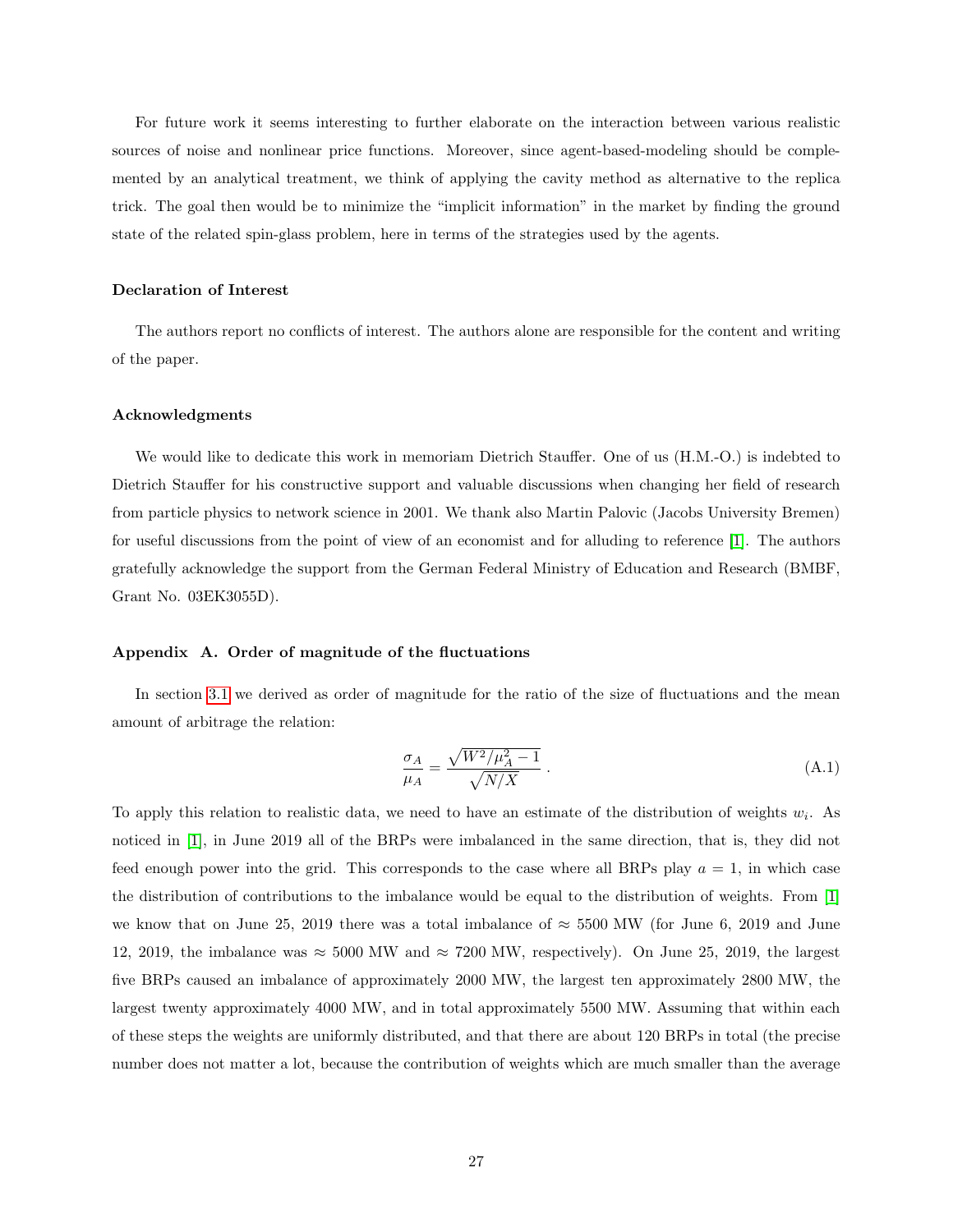For future work it seems interesting to further elaborate on the interaction between various realistic sources of noise and nonlinear price functions. Moreover, since agent-based-modeling should be complemented by an analytical treatment, we think of applying the cavity method as alternative to the replica trick. The goal then would be to minimize the "implicit information" in the market by finding the ground state of the related spin-glass problem, here in terms of the strategies used by the agents.

### Declaration of Interest

The authors report no conflicts of interest. The authors alone are responsible for the content and writing of the paper.

#### Acknowledgments

We would like to dedicate this work in memoriam Dietrich Stauffer. One of us (H.M.-O.) is indebted to Dietrich Stauffer for his constructive support and valuable discussions when changing her field of research from particle physics to network science in 2001. We thank also Martin Palovic (Jacobs University Bremen) for useful discussions from the point of view of an economist and for alluding to reference [\[1\]](#page-28-0). The authors gratefully acknowledge the support from the German Federal Ministry of Education and Research (BMBF, Grant No. 03EK3055D).

### <span id="page-26-0"></span>Appendix A. Order of magnitude of the fluctuations

In section [3.1](#page-8-1) we derived as order of magnitude for the ratio of the size of fluctuations and the mean amount of arbitrage the relation:

$$
\frac{\sigma_A}{\mu_A} = \frac{\sqrt{W^2/\mu_A^2 - 1}}{\sqrt{N/X}} \,. \tag{A.1}
$$

To apply this relation to realistic data, we need to have an estimate of the distribution of weights  $w_i$ . As noticed in [\[1\]](#page-28-0), in June 2019 all of the BRPs were imbalanced in the same direction, that is, they did not feed enough power into the grid. This corresponds to the case where all BRPs play  $a = 1$ , in which case the distribution of contributions to the imbalance would be equal to the distribution of weights. From [\[1\]](#page-28-0) we know that on June 25, 2019 there was a total imbalance of  $\approx$  5500 MW (for June 6, 2019 and June 12, 2019, the imbalance was  $\approx 5000$  MW and  $\approx 7200$  MW, respectively). On June 25, 2019, the largest five BRPs caused an imbalance of approximately 2000 MW, the largest ten approximately 2800 MW, the largest twenty approximately 4000 MW, and in total approximately 5500 MW. Assuming that within each of these steps the weights are uniformly distributed, and that there are about 120 BRPs in total (the precise number does not matter a lot, because the contribution of weights which are much smaller than the average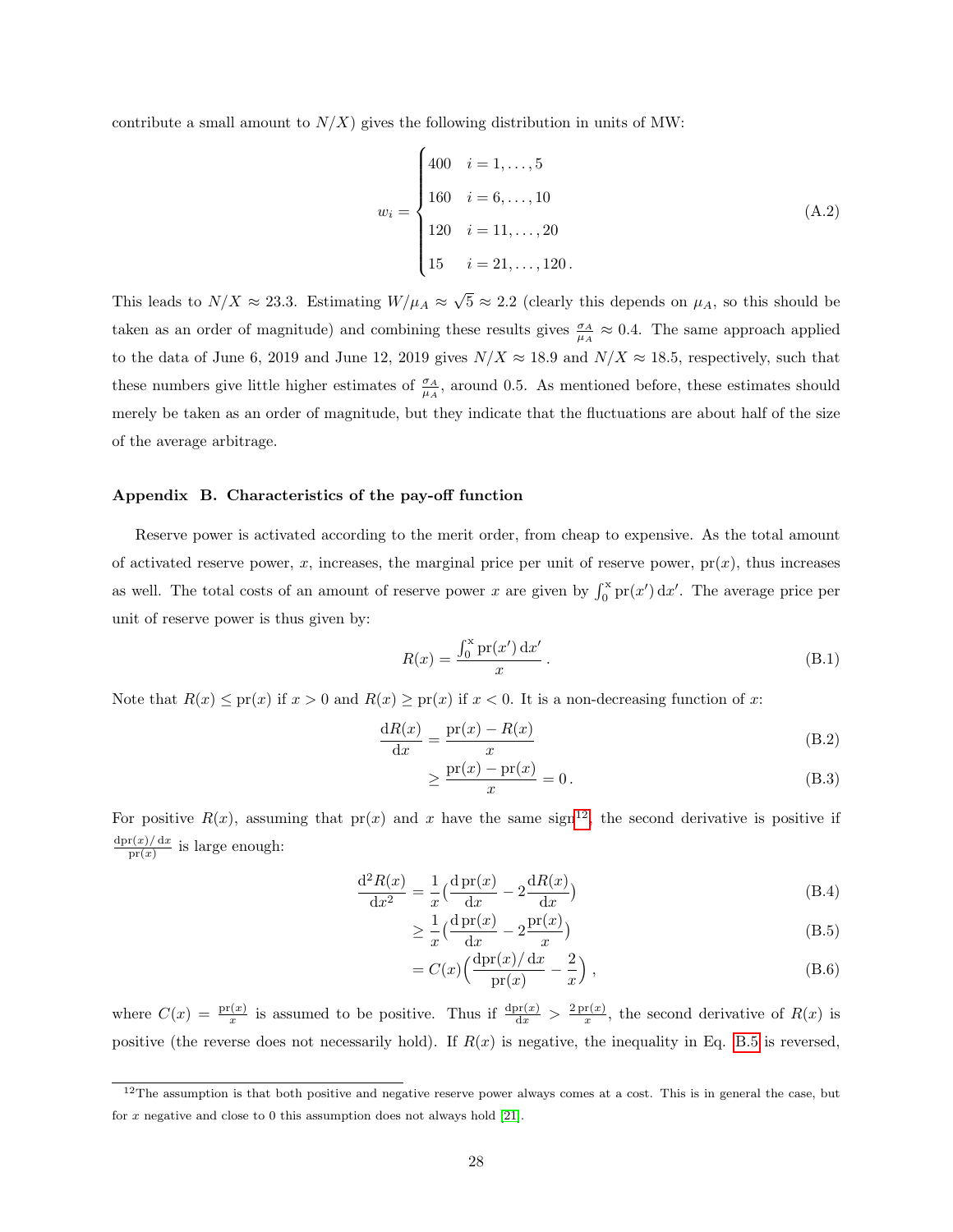contribute a small amount to  $N/X$ ) gives the following distribution in units of MW:

$$
w_{i} = \begin{cases} 400 & i = 1, ..., 5 \\ 160 & i = 6, ..., 10 \\ 120 & i = 11, ..., 20 \\ 15 & i = 21, ..., 120. \end{cases}
$$
(A.2)

This leads to  $N/X \approx 23.3$ . Estimating  $W/\mu_A \approx$ √  $5 \approx 2.2$  (clearly this depends on  $\mu_A$ , so this should be taken as an order of magnitude) and combining these results gives  $\frac{\sigma_A}{\mu_A} \approx 0.4$ . The same approach applied to the data of June 6, 2019 and June 12, 2019 gives  $N/X \approx 18.9$  and  $N/X \approx 18.5$ , respectively, such that these numbers give little higher estimates of  $\frac{\sigma_A}{\mu_A}$ , around 0.5. As mentioned before, these estimates should merely be taken as an order of magnitude, but they indicate that the fluctuations are about half of the size of the average arbitrage.

### <span id="page-27-0"></span>Appendix B. Characteristics of the pay-off function

Reserve power is activated according to the merit order, from cheap to expensive. As the total amount of activated reserve power, x, increases, the marginal price per unit of reserve power,  $pr(x)$ , thus increases as well. The total costs of an amount of reserve power x are given by  $\int_0^x pr(x') dx'$ . The average price per unit of reserve power is thus given by:

$$
R(x) = \frac{\int_0^x \operatorname{pr}(x') \, \mathrm{d}x'}{x} \,. \tag{B.1}
$$

Note that  $R(x) \leq \text{pr}(x)$  if  $x > 0$  and  $R(x) \geq \text{pr}(x)$  if  $x < 0$ . It is a non-decreasing function of x:

$$
\frac{\mathrm{d}R(x)}{\mathrm{d}x} = \frac{\mathrm{pr}(x) - R(x)}{x} \tag{B.2}
$$

$$
\geq \frac{\operatorname{pr}(x) - \operatorname{pr}(x)}{x} = 0.
$$
\n(B.3)

For positive  $R(x)$ , assuming that  $pr(x)$  and x have the same sign<sup>[12](#page-27-1)</sup>, the second derivative is positive if  $dpr(x)/dx$  $\frac{\Gamma(x)/\sigma(x)}{\Pr(x)}$  is large enough:

$$
\frac{\mathrm{d}^2 R(x)}{\mathrm{d}x^2} = \frac{1}{x} \left( \frac{\mathrm{d}\operatorname{pr}(x)}{\mathrm{d}x} - 2 \frac{\mathrm{d}R(x)}{\mathrm{d}x} \right) \tag{B.4}
$$

$$
\geq \frac{1}{x} \left( \frac{\mathrm{d}\operatorname{pr}(x)}{\mathrm{d}x} - 2\frac{\mathrm{pr}(x)}{x} \right) \tag{B.5}
$$

<span id="page-27-2"></span>
$$
= C(x) \left( \frac{\mathrm{dpr}(x)/\,\mathrm{d}x}{\mathrm{pr}(x)} - \frac{2}{x} \right),\tag{B.6}
$$

where  $C(x) = \frac{pr(x)}{x}$  is assumed to be positive. Thus if  $\frac{dpr(x)}{dx} > \frac{2pr(x)}{x}$  $\frac{\mathbf{r}(x)}{x}$ , the second derivative of  $R(x)$  is positive (the reverse does not necessarily hold). If  $R(x)$  is negative, the inequality in Eq. [B.5](#page-27-2) is reversed,

<span id="page-27-1"></span> $12$ The assumption is that both positive and negative reserve power always comes at a cost. This is in general the case, but for x negative and close to 0 this assumption does not always hold [\[21\]](#page-30-6).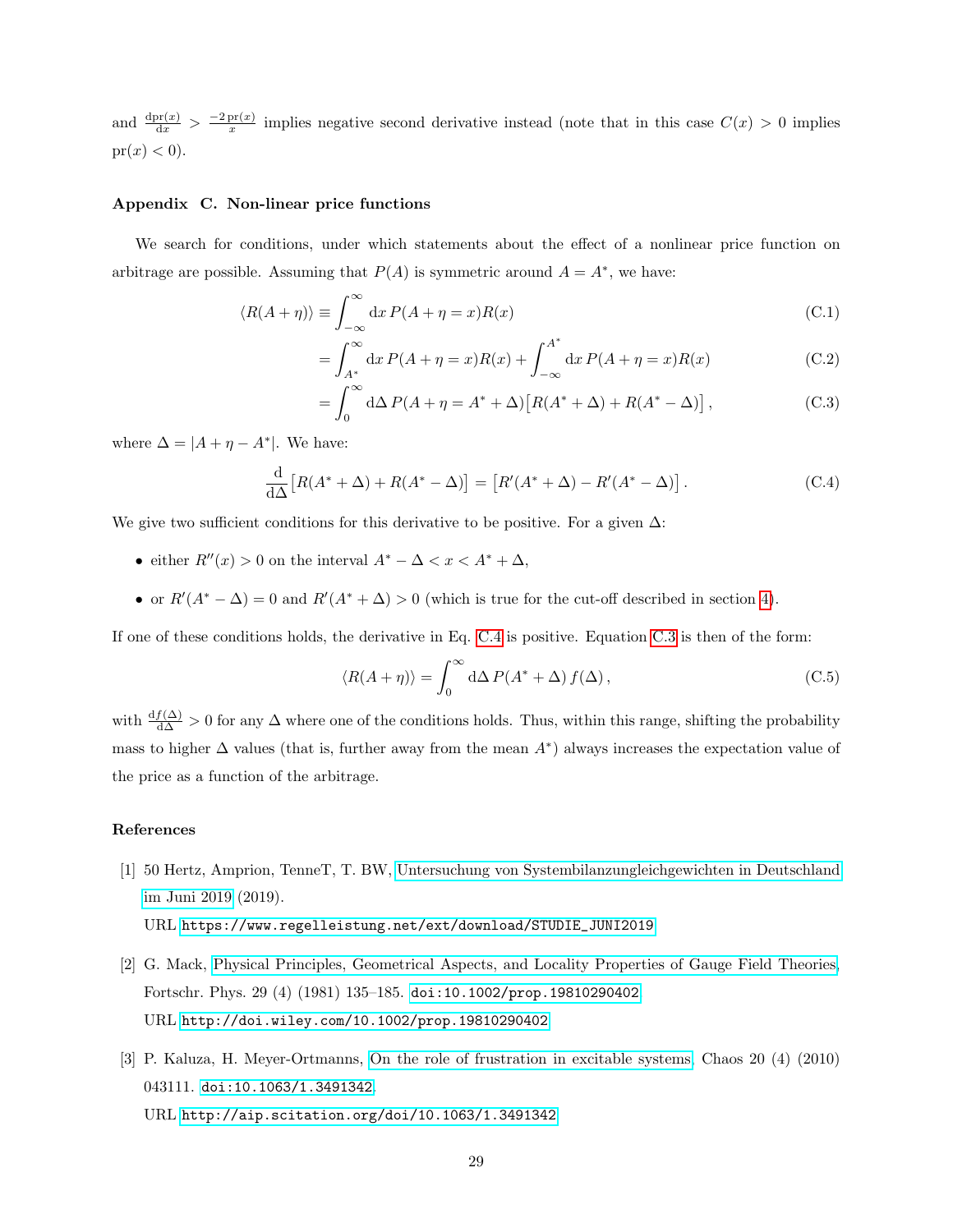and  $\frac{\text{dpr}(x)}{\text{d}x} > \frac{-2 \text{pr}(x)}{x}$  $\frac{\text{pr}(x)}{x}$  implies negative second derivative instead (note that in this case  $C(x) > 0$  implies  $pr(x) < 0$ .

# <span id="page-28-3"></span>Appendix C. Non-linear price functions

We search for conditions, under which statements about the effect of a nonlinear price function on arbitrage are possible. Assuming that  $P(A)$  is symmetric around  $A = A^*$ , we have:

$$
\langle R(A + \eta) \rangle \equiv \int_{-\infty}^{\infty} dx P(A + \eta = x) R(x)
$$
 (C.1)

$$
= \int_{A^*}^{\infty} dx P(A + \eta = x) R(x) + \int_{-\infty}^{A^*} dx P(A + \eta = x) R(x)
$$
 (C.2)

<span id="page-28-5"></span><span id="page-28-4"></span>
$$
= \int_0^\infty d\Delta P(A + \eta = A^* + \Delta) \left[ R(A^* + \Delta) + R(A^* - \Delta) \right], \tag{C.3}
$$

where  $\Delta = |A + \eta - A^*|$ . We have:

$$
\frac{\mathrm{d}}{\mathrm{d}\Delta} \left[ R(A^* + \Delta) + R(A^* - \Delta) \right] = \left[ R'(A^* + \Delta) - R'(A^* - \Delta) \right]. \tag{C.4}
$$

We give two sufficient conditions for this derivative to be positive. For a given  $\Delta$ :

- either  $R''(x) > 0$  on the interval  $A^* \Delta < x < A^* + \Delta$ ,
- or  $R'(A^* \Delta) = 0$  and  $R'(A^* + \Delta) > 0$  (which is true for the cut-off described in section [4\)](#page-21-0).

If one of these conditions holds, the derivative in Eq. [C.4](#page-28-5) is positive. Equation [C.3](#page-28-4) is then of the form:

$$
\langle R(A + \eta) \rangle = \int_0^\infty d\Delta P(A^* + \Delta) f(\Delta), \tag{C.5}
$$

with  $\frac{df(\Delta)}{d\Delta} > 0$  for any  $\Delta$  where one of the conditions holds. Thus, within this range, shifting the probability mass to higher  $\Delta$  values (that is, further away from the mean  $A^*$ ) always increases the expectation value of the price as a function of the arbitrage.

# References

<span id="page-28-0"></span>[1] 50 Hertz, Amprion, TenneT, T. BW, [Untersuchung von Systembilanzungleichgewichten in Deutschland](https://www.regelleistung.net/ext/download/STUDIE_JUNI2019) [im Juni 2019](https://www.regelleistung.net/ext/download/STUDIE_JUNI2019) (2019).

$$
\rm URL~https://www.regelleistung.net/ext/download/STUDIE\_JUNI2019
$$

- <span id="page-28-1"></span>[2] G. Mack, [Physical Principles, Geometrical Aspects, and Locality Properties of Gauge Field Theories,](http://doi.wiley.com/10.1002/prop.19810290402) Fortschr. Phys. 29 (4) (1981) 135–185. [doi:10.1002/prop.19810290402](https://doi.org/10.1002/prop.19810290402). URL <http://doi.wiley.com/10.1002/prop.19810290402>
- <span id="page-28-2"></span>[3] P. Kaluza, H. Meyer-Ortmanns, [On the role of frustration in excitable systems,](http://aip.scitation.org/doi/10.1063/1.3491342) Chaos 20 (4) (2010) 043111. [doi:10.1063/1.3491342](https://doi.org/10.1063/1.3491342). URL <http://aip.scitation.org/doi/10.1063/1.3491342>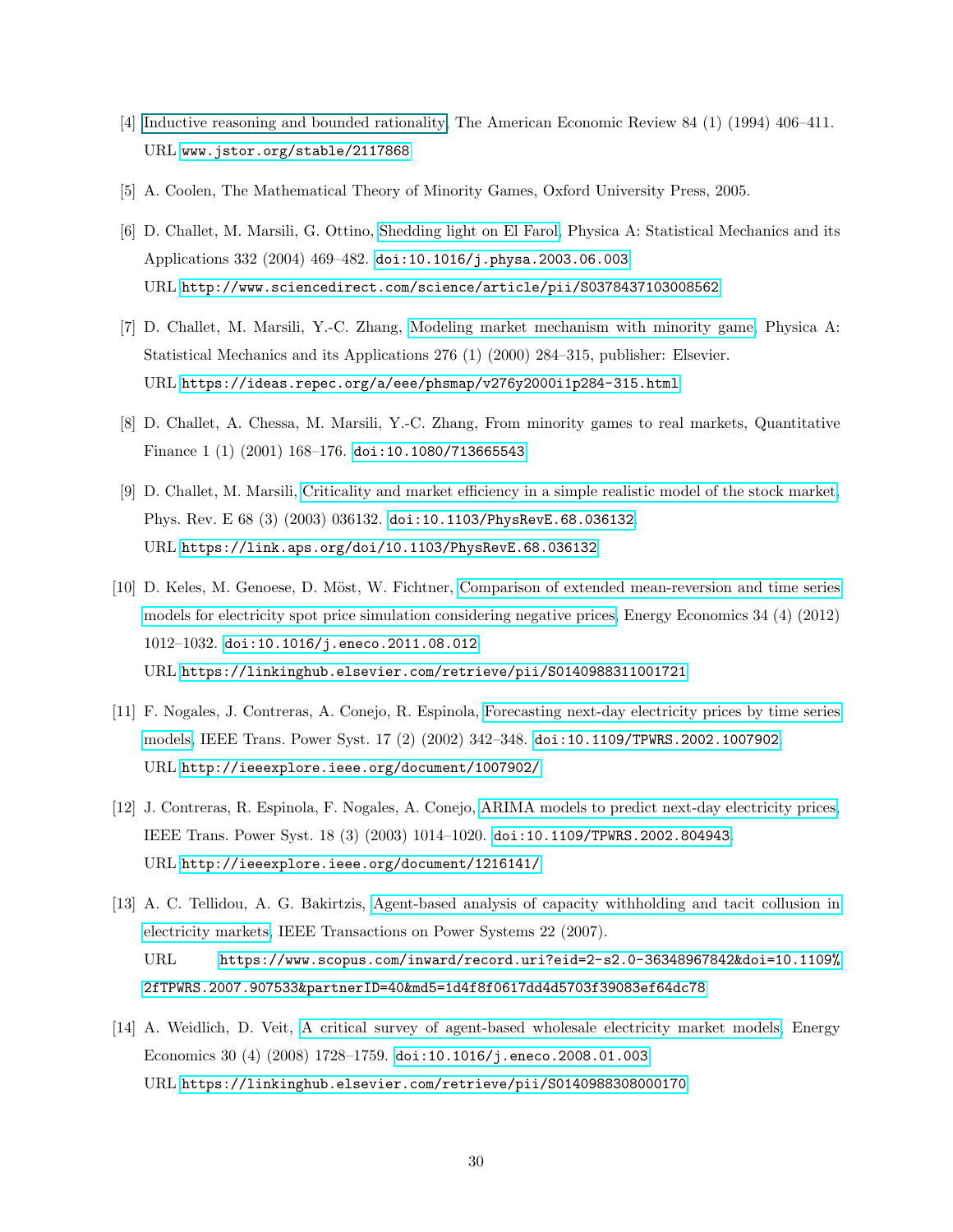- <span id="page-29-0"></span>[4] [Inductive reasoning and bounded rationality,](#page-0-2) The American Economic Review 84 (1) (1994) 406–411. URL <www.jstor.org/stable/2117868>
- <span id="page-29-1"></span>[5] A. Coolen, The Mathematical Theory of Minority Games, Oxford University Press, 2005.
- <span id="page-29-2"></span>[6] D. Challet, M. Marsili, G. Ottino, [Shedding light on El Farol,](http://www.sciencedirect.com/science/article/pii/S0378437103008562) Physica A: Statistical Mechanics and its Applications 332 (2004) 469–482. [doi:10.1016/j.physa.2003.06.003](https://doi.org/10.1016/j.physa.2003.06.003). URL <http://www.sciencedirect.com/science/article/pii/S0378437103008562>
- <span id="page-29-3"></span>[7] D. Challet, M. Marsili, Y.-C. Zhang, [Modeling market mechanism with minority game,](https://ideas.repec.org/a/eee/phsmap/v276y2000i1p284-315.html) Physica A: Statistical Mechanics and its Applications 276 (1) (2000) 284–315, publisher: Elsevier. URL <https://ideas.repec.org/a/eee/phsmap/v276y2000i1p284-315.html>
- <span id="page-29-4"></span>[8] D. Challet, A. Chessa, M. Marsili, Y.-C. Zhang, From minority games to real markets, Quantitative Finance 1 (1) (2001) 168–176. [doi:10.1080/713665543](https://doi.org/10.1080/713665543).
- <span id="page-29-5"></span>[9] D. Challet, M. Marsili, [Criticality and market efficiency in a simple realistic model of the stock market,](https://link.aps.org/doi/10.1103/PhysRevE.68.036132) Phys. Rev. E 68 (3) (2003) 036132. [doi:10.1103/PhysRevE.68.036132](https://doi.org/10.1103/PhysRevE.68.036132). URL <https://link.aps.org/doi/10.1103/PhysRevE.68.036132>
- <span id="page-29-6"></span>[10] D. Keles, M. Genoese, D. Möst, W. Fichtner, [Comparison of extended mean-reversion and time series](https://linkinghub.elsevier.com/retrieve/pii/S0140988311001721) [models for electricity spot price simulation considering negative prices,](https://linkinghub.elsevier.com/retrieve/pii/S0140988311001721) Energy Economics 34 (4) (2012) 1012–1032. [doi:10.1016/j.eneco.2011.08.012](https://doi.org/10.1016/j.eneco.2011.08.012). URL <https://linkinghub.elsevier.com/retrieve/pii/S0140988311001721>
- <span id="page-29-7"></span>[11] F. Nogales, J. Contreras, A. Conejo, R. Espinola, [Forecasting next-day electricity prices by time series](http://ieeexplore.ieee.org/document/1007902/) [models,](http://ieeexplore.ieee.org/document/1007902/) IEEE Trans. Power Syst. 17 (2) (2002) 342–348. [doi:10.1109/TPWRS.2002.1007902](https://doi.org/10.1109/TPWRS.2002.1007902). URL <http://ieeexplore.ieee.org/document/1007902/>
- <span id="page-29-8"></span>[12] J. Contreras, R. Espinola, F. Nogales, A. Conejo, [ARIMA models to predict next-day electricity prices,](http://ieeexplore.ieee.org/document/1216141/) IEEE Trans. Power Syst. 18 (3) (2003) 1014–1020. [doi:10.1109/TPWRS.2002.804943](https://doi.org/10.1109/TPWRS.2002.804943). URL <http://ieeexplore.ieee.org/document/1216141/>
- <span id="page-29-9"></span>[13] A. C. Tellidou, A. G. Bakirtzis, [Agent-based analysis of capacity withholding and tacit collusion in](https://www.scopus.com/inward/record.uri?eid=2-s2.0-36348967842&doi=10.1109%2fTPWRS.2007.907533&partnerID=40&md5=1d4f8f0617dd4d5703f39083ef64dc78) [electricity markets,](https://www.scopus.com/inward/record.uri?eid=2-s2.0-36348967842&doi=10.1109%2fTPWRS.2007.907533&partnerID=40&md5=1d4f8f0617dd4d5703f39083ef64dc78) IEEE Transactions on Power Systems 22 (2007). URL [https://www.scopus.com/inward/record.uri?eid=2-s2.0-36348967842&doi=10.1109%](https://www.scopus.com/inward/record.uri?eid=2-s2.0-36348967842&doi=10.1109%2fTPWRS.2007.907533&partnerID=40&md5=1d4f8f0617dd4d5703f39083ef64dc78) [2fTPWRS.2007.907533&partnerID=40&md5=1d4f8f0617dd4d5703f39083ef64dc78](https://www.scopus.com/inward/record.uri?eid=2-s2.0-36348967842&doi=10.1109%2fTPWRS.2007.907533&partnerID=40&md5=1d4f8f0617dd4d5703f39083ef64dc78)
- <span id="page-29-10"></span>[14] A. Weidlich, D. Veit, [A critical survey of agent-based wholesale electricity market models,](https://linkinghub.elsevier.com/retrieve/pii/S0140988308000170) Energy Economics 30 (4) (2008) 1728–1759. [doi:10.1016/j.eneco.2008.01.003](https://doi.org/10.1016/j.eneco.2008.01.003). URL <https://linkinghub.elsevier.com/retrieve/pii/S0140988308000170>